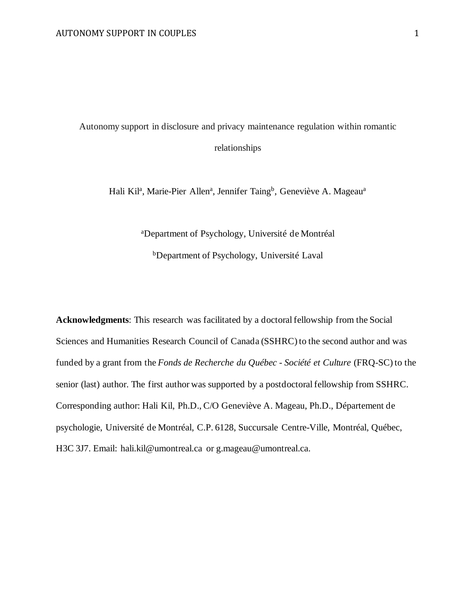Autonomy support in disclosure and privacy maintenance regulation within romantic relationships

Hali Kil<sup>a</sup>, Marie-Pier Allen<sup>a</sup>, Jennifer Taing<sup>b</sup>, Geneviève A. Mageau<sup>a</sup>

aDepartment of Psychology, Université de Montréal

bDepartment of Psychology, Université Laval

**Acknowledgments**: This research was facilitated by a doctoral fellowship from the Social Sciences and Humanities Research Council of Canada (SSHRC) to the second author and was funded by a grant from the *Fonds de Recherche du Québec - Société et Culture* (FRQ-SC) to the senior (last) author. The first author was supported by a postdoctoral fellowship from SSHRC. Corresponding author: Hali Kil, Ph.D., C/O Geneviève A. Mageau, Ph.D., Département de psychologie, Université de Montréal, C.P. 6128, Succursale Centre-Ville, Montréal, Québec, H3C 3J7. Email: hali.kil@umontreal.ca or g.mageau@umontreal.ca.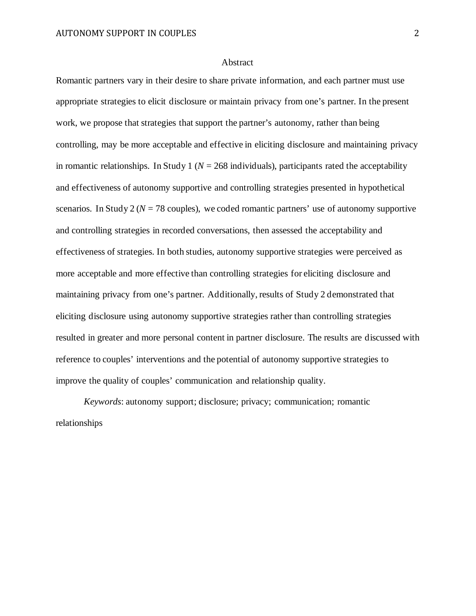#### Abstract

Romantic partners vary in their desire to share private information, and each partner must use appropriate strategies to elicit disclosure or maintain privacy from one's partner. In the present work, we propose that strategies that support the partner's autonomy, rather than being controlling, may be more acceptable and effective in eliciting disclosure and maintaining privacy in romantic relationships. In Study 1 ( $N = 268$  individuals), participants rated the acceptability and effectiveness of autonomy supportive and controlling strategies presented in hypothetical scenarios. In Study  $2 (N = 78$  couples), we coded romantic partners' use of autonomy supportive and controlling strategies in recorded conversations, then assessed the acceptability and effectiveness of strategies. In both studies, autonomy supportive strategies were perceived as more acceptable and more effective than controlling strategies for eliciting disclosure and maintaining privacy from one's partner. Additionally, results of Study 2 demonstrated that eliciting disclosure using autonomy supportive strategies rather than controlling strategies resulted in greater and more personal content in partner disclosure. The results are discussed with reference to couples' interventions and the potential of autonomy supportive strategies to improve the quality of couples' communication and relationship quality.

*Keywords*: autonomy support; disclosure; privacy; communication; romantic relationships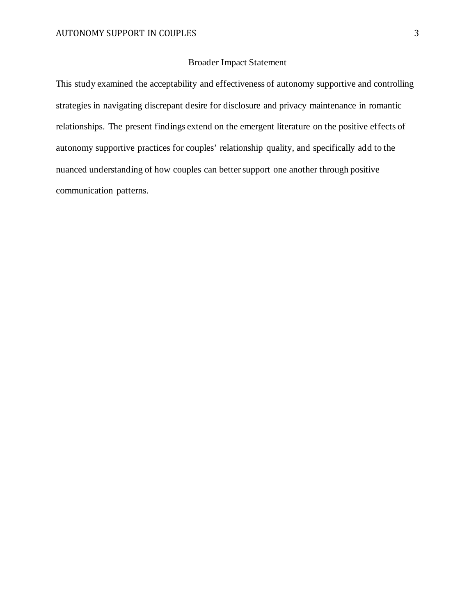# Broader Impact Statement

This study examined the acceptability and effectiveness of autonomy supportive and controlling strategies in navigating discrepant desire for disclosure and privacy maintenance in romantic relationships. The present findings extend on the emergent literature on the positive effects of autonomy supportive practices for couples' relationship quality, and specifically add to the nuanced understanding of how couples can better support one another through positive communication patterns.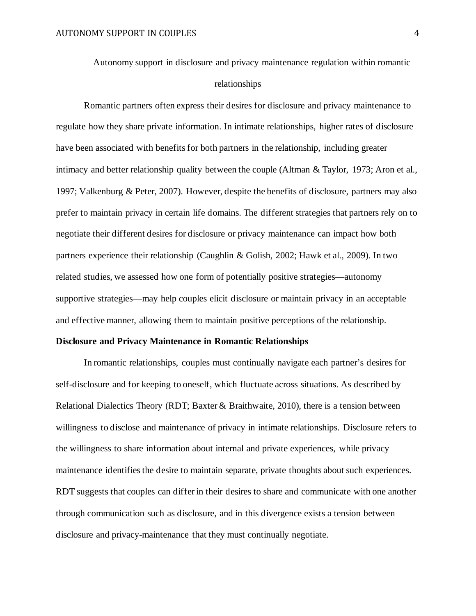Autonomy support in disclosure and privacy maintenance regulation within romantic relationships

Romantic partners often express their desires for disclosure and privacy maintenance to regulate how they share private information. In intimate relationships, higher rates of disclosure have been associated with benefits for both partners in the relationship, including greater intimacy and better relationship quality between the couple (Altman & Taylor, 1973; Aron et al., 1997; Valkenburg & Peter, 2007). However, despite the benefits of disclosure, partners may also prefer to maintain privacy in certain life domains. The different strategies that partners rely on to negotiate their different desires for disclosure or privacy maintenance can impact how both partners experience their relationship (Caughlin & Golish, 2002; Hawk et al., 2009). In two related studies, we assessed how one form of potentially positive strategies—autonomy supportive strategies—may help couples elicit disclosure or maintain privacy in an acceptable and effective manner, allowing them to maintain positive perceptions of the relationship.

#### **Disclosure and Privacy Maintenance in Romantic Relationships**

 In romantic relationships, couples must continually navigate each partner's desires for self-disclosure and for keeping to oneself, which fluctuate across situations. As described by Relational Dialectics Theory (RDT; Baxter  $\&$  Braithwaite, 2010), there is a tension between willingness to disclose and maintenance of privacy in intimate relationships. Disclosure refers to the willingness to share information about internal and private experiences, while privacy maintenance identifies the desire to maintain separate, private thoughts about such experiences. RDT suggests that couples can differ in their desires to share and communicate with one another through communication such as disclosure, and in this divergence exists a tension between disclosure and privacy-maintenance that they must continually negotiate.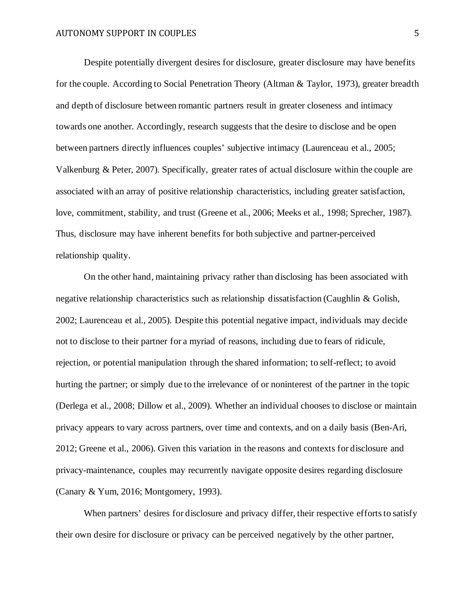Despite potentially divergent desires for disclosure, greater disclosure may have benefits for the couple. According to Social Penetration Theory (Altman & Taylor, 1973), greater breadth and depth of disclosure between romantic partners result in greater closeness and intimacy towards one another. Accordingly, research suggests that the desire to disclose and be open between partners directly influences couples' subjective intimacy (Laurenceau et al., 2005; Valkenburg & Peter, 2007). Specifically, greater rates of actual disclosure within the couple are associated with an array of positive relationship characteristics, including greater satisfaction, love, commitment, stability, and trust (Greene et al., 2006; Meeks et al., 1998; Sprecher, 1987). Thus, disclosure may have inherent benefits for both subjective and partner-perceived relationship quality.

On the other hand, maintaining privacy rather than disclosing has been associated with negative relationship characteristics such as relationship dissatisfaction (Caughlin & Golish, 2002; Laurenceau et al., 2005). Despite this potential negative impact, individuals may decide not to disclose to their partner for a myriad of reasons, including due to fears of ridicule, rejection, or potential manipulation through the shared information; to self-reflect; to avoid hurting the partner; or simply due to the irrelevance of or noninterest of the partner in the topic (Derlega et al., 2008; Dillow et al., 2009). Whether an individual chooses to disclose or maintain privacy appears to vary across partners, over time and contexts, and on a daily basis (Ben-Ari, 2012; Greene et al., 2006). Given this variation in the reasons and contexts for disclosure and privacy-maintenance, couples may recurrently navigate opposite desires regarding disclosure (Canary & Yum, 2016; Montgomery, 1993).

When partners' desires for disclosure and privacy differ, their respective efforts to satisfy their own desire for disclosure or privacy can be perceived negatively by the other partner,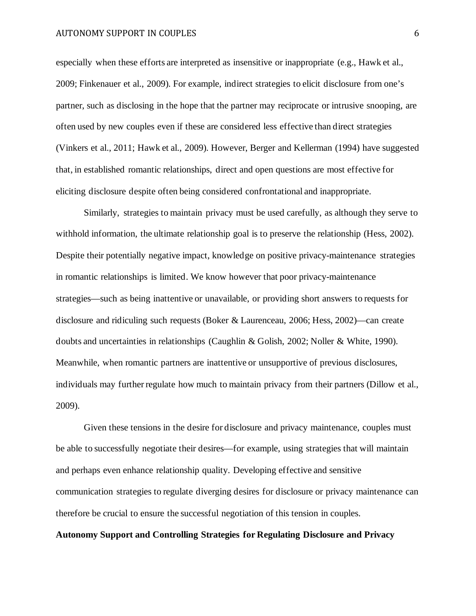especially when these efforts are interpreted as insensitive or inappropriate (e.g., Hawk et al., 2009; Finkenauer et al., 2009). For example, indirect strategies to elicit disclosure from one's partner, such as disclosing in the hope that the partner may reciprocate or intrusive snooping, are often used by new couples even if these are considered less effective than direct strategies (Vinkers et al., 2011; Hawk et al., 2009). However, Berger and Kellerman (1994) have suggested that, in established romantic relationships, direct and open questions are most effective for eliciting disclosure despite often being considered confrontational and inappropriate.

Similarly, strategies to maintain privacy must be used carefully, as although they serve to withhold information, the ultimate relationship goal is to preserve the relationship (Hess, 2002). Despite their potentially negative impact, knowledge on positive privacy-maintenance strategies in romantic relationships is limited. We know however that poor privacy-maintenance strategies—such as being inattentive or unavailable, or providing short answers to requests for disclosure and ridiculing such requests (Boker & Laurenceau, 2006; Hess, 2002)—can create doubts and uncertainties in relationships (Caughlin & Golish, 2002; Noller & White, 1990). Meanwhile, when romantic partners are inattentive or unsupportive of previous disclosures, individuals may further regulate how much to maintain privacy from their partners (Dillow et al., 2009).

Given these tensions in the desire for disclosure and privacy maintenance, couples must be able to successfully negotiate their desires—for example, using strategies that will maintain and perhaps even enhance relationship quality. Developing effective and sensitive communication strategies to regulate diverging desires for disclosure or privacy maintenance can therefore be crucial to ensure the successful negotiation of this tension in couples.

# **Autonomy Support and Controlling Strategies for Regulating Disclosure and Privacy**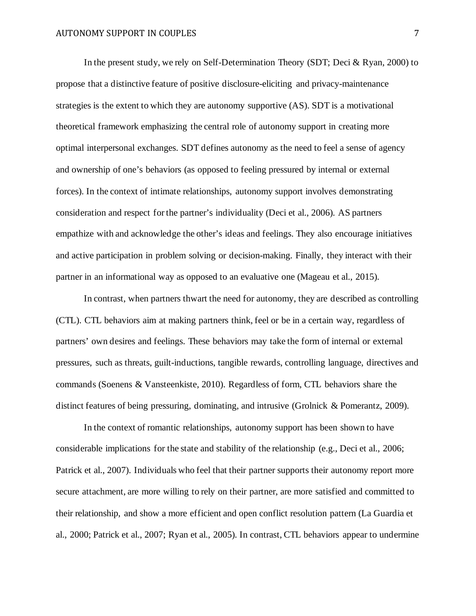In the present study, we rely on Self-Determination Theory (SDT; Deci & Ryan, 2000) to propose that a distinctive feature of positive disclosure-eliciting and privacy-maintenance strategies is the extent to which they are autonomy supportive (AS). SDT is a motivational theoretical framework emphasizing the central role of autonomy support in creating more optimal interpersonal exchanges. SDT defines autonomy as the need to feel a sense of agency and ownership of one's behaviors (as opposed to feeling pressured by internal or external forces). In the context of intimate relationships, autonomy support involves demonstrating consideration and respect for the partner's individuality (Deci et al., 2006). AS partners empathize with and acknowledge the other's ideas and feelings. They also encourage initiatives and active participation in problem solving or decision-making. Finally, they interact with their partner in an informational way as opposed to an evaluative one (Mageau et al., 2015).

In contrast, when partners thwart the need for autonomy, they are described as controlling (CTL). CTL behaviors aim at making partners think, feel or be in a certain way, regardless of partners' own desires and feelings. These behaviors may take the form of internal or external pressures, such as threats, guilt-inductions, tangible rewards, controlling language, directives and commands (Soenens & Vansteenkiste, 2010). Regardless of form, CTL behaviors share the distinct features of being pressuring, dominating, and intrusive (Grolnick & Pomerantz, 2009).

In the context of romantic relationships, autonomy support has been shown to have considerable implications for the state and stability of the relationship (e.g., Deci et al., 2006; Patrick et al., 2007). Individuals who feel that their partner supports their autonomy report more secure attachment, are more willing to rely on their partner, are more satisfied and committed to their relationship, and show a more efficient and open conflict resolution pattern (La Guardia et al., 2000; Patrick et al., 2007; Ryan et al., 2005). In contrast, CTL behaviors appear to undermine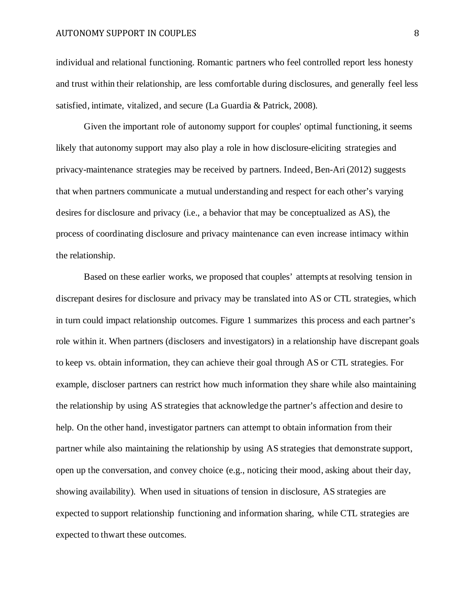individual and relational functioning. Romantic partners who feel controlled report less honesty and trust within their relationship, are less comfortable during disclosures, and generally feel less satisfied, intimate, vitalized, and secure (La Guardia & Patrick, 2008).

Given the important role of autonomy support for couples' optimal functioning, it seems likely that autonomy support may also play a role in how disclosure-eliciting strategies and privacy-maintenance strategies may be received by partners. Indeed, Ben-Ari (2012) suggests that when partners communicate a mutual understanding and respect for each other's varying desires for disclosure and privacy (i.e., a behavior that may be conceptualized as AS), the process of coordinating disclosure and privacy maintenance can even increase intimacy within the relationship.

Based on these earlier works, we proposed that couples' attempts at resolving tension in discrepant desires for disclosure and privacy may be translated into AS or CTL strategies, which in turn could impact relationship outcomes. Figure 1 summarizes this process and each partner's role within it. When partners (disclosers and investigators) in a relationship have discrepant goals to keep vs. obtain information, they can achieve their goal through AS or CTL strategies. For example, discloser partners can restrict how much information they share while also maintaining the relationship by using AS strategies that acknowledge the partner's affection and desire to help. On the other hand, investigator partners can attempt to obtain information from their partner while also maintaining the relationship by using AS strategies that demonstrate support, open up the conversation, and convey choice (e.g., noticing their mood, asking about their day, showing availability). When used in situations of tension in disclosure, AS strategies are expected to support relationship functioning and information sharing, while CTL strategies are expected to thwart these outcomes.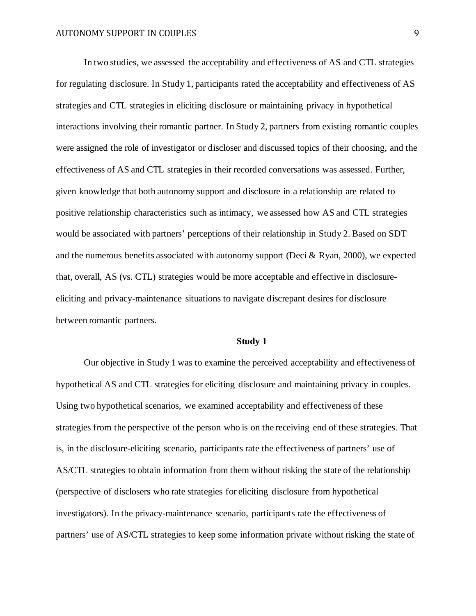In two studies, we assessed the acceptability and effectiveness of AS and CTL strategies for regulating disclosure. In Study 1, participants rated the acceptability and effectiveness of AS strategies and CTL strategies in eliciting disclosure or maintaining privacy in hypothetical interactions involving their romantic partner. In Study 2, partners from existing romantic couples were assigned the role of investigator or discloser and discussed topics of their choosing, and the effectiveness of AS and CTL strategies in their recorded conversations was assessed. Further, given knowledge that both autonomy support and disclosure in a relationship are related to positive relationship characteristics such as intimacy, we assessed how AS and CTL strategies would be associated with partners' perceptions of their relationship in Study 2. Based on SDT and the numerous benefits associated with autonomy support (Deci  $\&$  Ryan, 2000), we expected that, overall, AS (vs. CTL) strategies would be more acceptable and effective in disclosureeliciting and privacy-maintenance situations to navigate discrepant desires for disclosure between romantic partners.

## **Study 1**

Our objective in Study 1 was to examine the perceived acceptability and effectiveness of hypothetical AS and CTL strategies for eliciting disclosure and maintaining privacy in couples. Using two hypothetical scenarios, we examined acceptability and effectiveness of these strategies from the perspective of the person who is on the receiving end of these strategies. That is, in the disclosure-eliciting scenario, participants rate the effectiveness of partners' use of AS/CTL strategies to obtain information from them without risking the state of the relationship (perspective of disclosers who rate strategies for eliciting disclosure from hypothetical investigators). In the privacy-maintenance scenario, participants rate the effectiveness of partners' use of AS/CTL strategies to keep some information private without risking the state of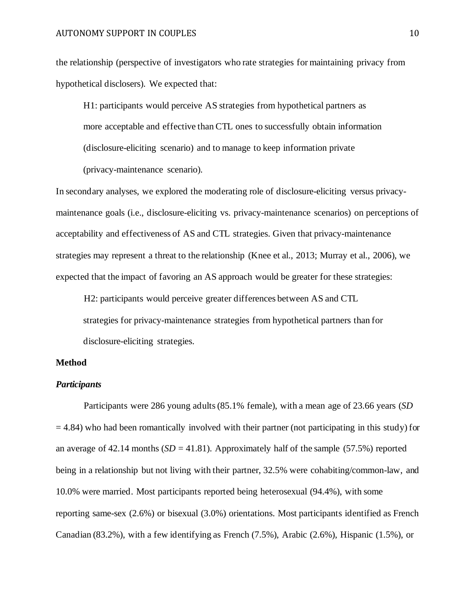the relationship (perspective of investigators who rate strategies for maintaining privacy from hypothetical disclosers). We expected that:

H1: participants would perceive AS strategies from hypothetical partners as more acceptable and effective than CTL ones to successfully obtain information (disclosure-eliciting scenario) and to manage to keep information private (privacy-maintenance scenario).

In secondary analyses, we explored the moderating role of disclosure-eliciting versus privacymaintenance goals (i.e., disclosure-eliciting vs. privacy-maintenance scenarios) on perceptions of acceptability and effectiveness of AS and CTL strategies. Given that privacy-maintenance strategies may represent a threat to the relationship (Knee et al., 2013; Murray et al., 2006), we expected that the impact of favoring an AS approach would be greater for these strategies:

H2: participants would perceive greater differences between AS and CTL

strategies for privacy-maintenance strategies from hypothetical partners than for disclosure-eliciting strategies.

## **Method**

# *Participants*

Participants were 286 young adults (85.1% female), with a mean age of 23.66 years (*SD*  $= 4.84$ ) who had been romantically involved with their partner (not participating in this study) for an average of 42.14 months  $(SD = 41.81)$ . Approximately half of the sample (57.5%) reported being in a relationship but not living with their partner, 32.5% were cohabiting/common-law, and 10.0% were married. Most participants reported being heterosexual (94.4%), with some reporting same-sex (2.6%) or bisexual (3.0%) orientations. Most participants identified as French Canadian (83.2%), with a few identifying as French (7.5%), Arabic (2.6%), Hispanic (1.5%), or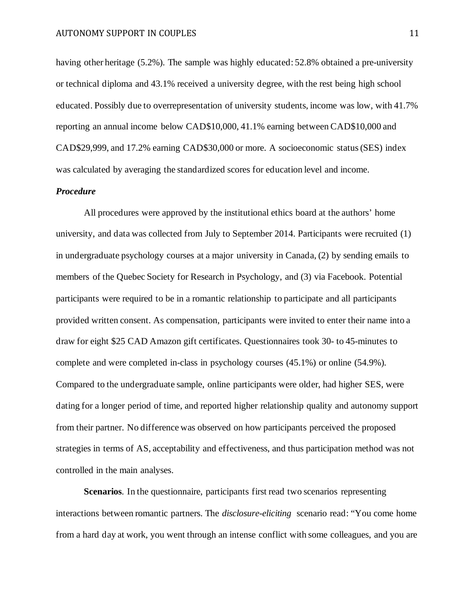having other heritage (5.2%). The sample was highly educated: 52.8% obtained a pre-university or technical diploma and 43.1% received a university degree, with the rest being high school educated. Possibly due to overrepresentation of university students, income was low, with 41.7% reporting an annual income below CAD\$10,000, 41.1% earning between CAD\$10,000 and CAD\$29,999, and 17.2% earning CAD\$30,000 or more. A socioeconomic status (SES) index was calculated by averaging the standardized scores for education level and income.

### *Procedure*

 All procedures were approved by the institutional ethics board at the authors' home university, and data was collected from July to September 2014. Participants were recruited (1) in undergraduate psychology courses at a major university in Canada, (2) by sending emails to members of the Quebec Society for Research in Psychology, and (3) via Facebook. Potential participants were required to be in a romantic relationship to participate and all participants provided written consent. As compensation, participants were invited to enter their name into a draw for eight \$25 CAD Amazon gift certificates. Questionnaires took 30- to 45-minutes to complete and were completed in-class in psychology courses (45.1%) or online (54.9%). Compared to the undergraduate sample, online participants were older, had higher SES, were dating for a longer period of time, and reported higher relationship quality and autonomy support from their partner. No difference was observed on how participants perceived the proposed strategies in terms of AS, acceptability and effectiveness, and thus participation method was not controlled in the main analyses.

**Scenarios**. In the questionnaire, participants first read two scenarios representing interactions between romantic partners. The *disclosure-eliciting* scenario read: "You come home from a hard day at work, you went through an intense conflict with some colleagues, and you are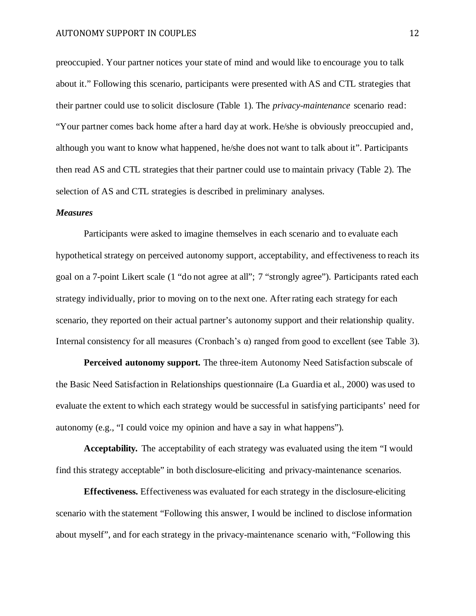preoccupied. Your partner notices your state of mind and would like to encourage you to talk about it." Following this scenario, participants were presented with AS and CTL strategies that their partner could use to solicit disclosure (Table 1). The *privacy-maintenance* scenario read: "Your partner comes back home after a hard day at work. He/she is obviously preoccupied and, although you want to know what happened, he/she does not want to talk about it". Participants then read AS and CTL strategies that their partner could use to maintain privacy (Table 2). The selection of AS and CTL strategies is described in preliminary analyses.

#### *Measures*

Participants were asked to imagine themselves in each scenario and to evaluate each hypothetical strategy on perceived autonomy support, acceptability, and effectiveness to reach its goal on a 7-point Likert scale (1 "do not agree at all"; 7 "strongly agree"). Participants rated each strategy individually, prior to moving on to the next one. After rating each strategy for each scenario, they reported on their actual partner's autonomy support and their relationship quality. Internal consistency for all measures (Cronbach's α) ranged from good to excellent (see Table 3).

**Perceived autonomy support.** The three-item Autonomy Need Satisfaction subscale of the Basic Need Satisfaction in Relationships questionnaire (La Guardia et al., 2000) was used to evaluate the extent to which each strategy would be successful in satisfying participants' need for autonomy (e.g., "I could voice my opinion and have a say in what happens").

**Acceptability***.* The acceptability of each strategy was evaluated using the item "I would find this strategy acceptable" in both disclosure-eliciting and privacy-maintenance scenarios.

**Effectiveness.** Effectiveness was evaluated for each strategy in the disclosure-eliciting scenario with the statement "Following this answer, I would be inclined to disclose information about myself", and for each strategy in the privacy-maintenance scenario with, "Following this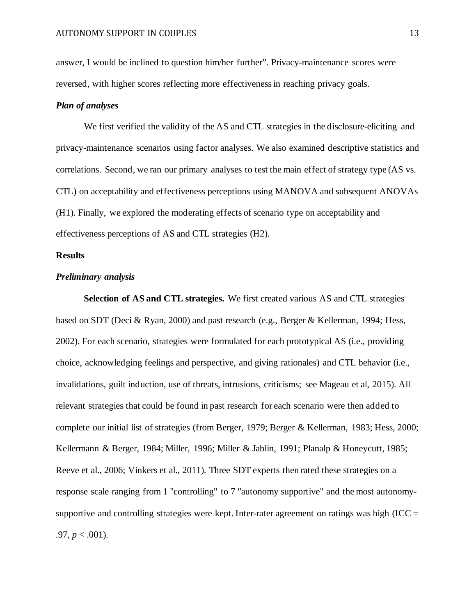answer, I would be inclined to question him/her further". Privacy-maintenance scores were reversed, with higher scores reflecting more effectiveness in reaching privacy goals.

### *Plan of analyses*

We first verified the validity of the AS and CTL strategies in the disclosure-eliciting and privacy-maintenance scenarios using factor analyses. We also examined descriptive statistics and correlations. Second, we ran our primary analyses to test the main effect of strategy type (AS vs. CTL) on acceptability and effectiveness perceptions using MANOVA and subsequent ANOVAs (H1). Finally, we explored the moderating effects of scenario type on acceptability and effectiveness perceptions of AS and CTL strategies (H2).

### **Results**

### *Preliminary analysis*

**Selection of AS and CTL strategies.** We first created various AS and CTL strategies based on SDT (Deci & Ryan, 2000) and past research (e.g., Berger & Kellerman, 1994; Hess, 2002). For each scenario, strategies were formulated for each prototypical AS (i.e., providing choice, acknowledging feelings and perspective, and giving rationales) and CTL behavior (i.e., invalidations, guilt induction, use of threats, intrusions, criticisms; see Mageau et al, 2015). All relevant strategies that could be found in past research for each scenario were then added to complete our initial list of strategies (from Berger, 1979; Berger & Kellerman, 1983; Hess, 2000; Kellermann & Berger, 1984; Miller, 1996; Miller & Jablin, 1991; Planalp & Honeycutt, 1985; Reeve et al., 2006; Vinkers et al., 2011). Three SDT experts then rated these strategies on a response scale ranging from 1 "controlling" to 7 "autonomy supportive" and the most autonomysupportive and controlling strategies were kept. Inter-rater agreement on ratings was high (ICC  $=$  $.97, p < .001$ ).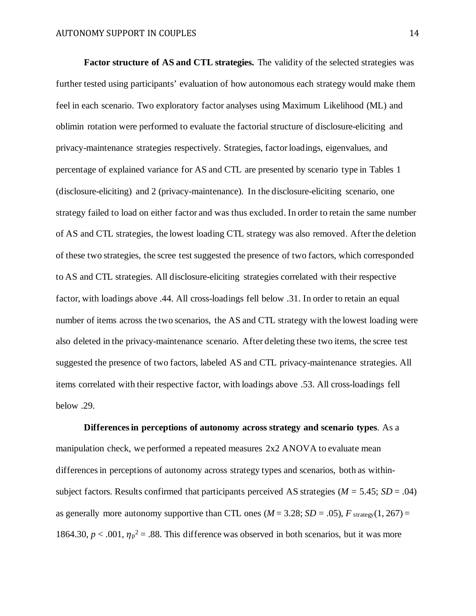**Factor structure of AS and CTL strategies.** The validity of the selected strategies was further tested using participants' evaluation of how autonomous each strategy would make them feel in each scenario. Two exploratory factor analyses using Maximum Likelihood (ML) and oblimin rotation were performed to evaluate the factorial structure of disclosure-eliciting and privacy-maintenance strategies respectively. Strategies, factor loadings, eigenvalues, and percentage of explained variance for AS and CTL are presented by scenario type in Tables 1 (disclosure-eliciting) and 2 (privacy-maintenance). In the disclosure-eliciting scenario, one strategy failed to load on either factor and was thus excluded. In order to retain the same number of AS and CTL strategies, the lowest loading CTL strategy was also removed. After the deletion of these two strategies, the scree test suggested the presence of two factors, which corresponded to AS and CTL strategies. All disclosure-eliciting strategies correlated with their respective factor, with loadings above .44. All cross-loadings fell below .31. In order to retain an equal number of items across the two scenarios, the AS and CTL strategy with the lowest loading were also deleted in the privacy-maintenance scenario. After deleting these two items, the scree test suggested the presence of two factors, labeled AS and CTL privacy-maintenance strategies. All items correlated with their respective factor, with loadings above .53. All cross-loadings fell below .29.

**Differences in perceptions of autonomy across strategy and scenario types**. As a manipulation check, we performed a repeated measures 2x2 ANOVA to evaluate mean differences in perceptions of autonomy across strategy types and scenarios, both as withinsubject factors. Results confirmed that participants perceived AS strategies (*M =* 5.45; *SD* = .04) as generally more autonomy supportive than CTL ones  $(M = 3.28; SD = .05)$ ,  $F_{\text{strategy}}(1, 267) =$ 1864.30,  $p < .001$ ,  $\eta_p^2 = .88$ . This difference was observed in both scenarios, but it was more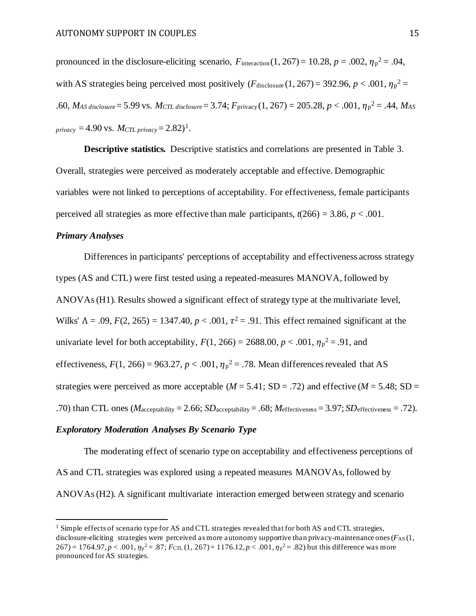pronounced in the disclosure-eliciting scenario,  $F_{\text{interaction}}(1, 267) = 10.28$ ,  $p = .002$ ,  $\eta_p^2 = .04$ , with AS strategies being perceived most positively  $(F_{\text{disclosure}}(1, 267) = 392.96, p < .001, \eta_p^2 =$ .60, *MAS disclosure*= 5.99 vs. *MCTL disclosure*= 3.74; *F*privacy (1, 267) = 205.28, *p* < .001, <sup>p</sup> 2 = .44, *MAS privacy* = 4.90 vs. *MCTL privacy* =  $2.82$ <sup>1</sup>.

**Descriptive statistics***.* Descriptive statistics and correlations are presented in Table 3. Overall, strategies were perceived as moderately acceptable and effective. Demographic variables were not linked to perceptions of acceptability. For effectiveness, female participants perceived all strategies as more effective than male participants,  $t(266) = 3.86$ ,  $p < .001$ .

# *Primary Analyses*

Differences in participants' perceptions of acceptability and effectiveness across strategy types (AS and CTL) were first tested using a repeated-measures MANOVA, followed by ANOVAs(H1). Results showed a significant effect of strategy type at the multivariate level, Wilks'  $Λ = .09$ ,  $F(2, 265) = 1347.40$ ,  $p < .001$ ,  $τ<sup>2</sup> = .91$ . This effect remained significant at the univariate level for both acceptability,  $F(1, 266) = 2688.00, p < .001, \eta_p^2 = .91$ , and effectiveness,  $F(1, 266) = 963.27$ ,  $p < .001$ ,  $\eta_p^2 = .78$ . Mean differences revealed that AS strategies were perceived as more acceptable ( $M = 5.41$ ; SD = .72) and effective ( $M = 5.48$ ; SD = .70) than CTL ones ( $M_{\text{acceptability}} = 2.66$ ;  $SD_{\text{acceptability}} = .68$ ;  $M_{\text{effectiveness}} = 3.97$ ;  $SD_{\text{effectiveness}} = .72$ ).

# *Exploratory Moderation Analyses By Scenario Type*

The moderating effect of scenario type on acceptability and effectiveness perceptions of AS and CTL strategies was explored using a repeated measures MANOVAs, followed by ANOVAs(H2). A significant multivariate interaction emerged between strategy and scenario

 $1$  Simple effects of scenario type for AS and CTL strategies revealed that for both AS and CTL strategies, disclosure-eliciting strategies were perceived as more autonomy supportive than privacy-maintenance ones  $(F<sub>AS</sub> (1,$  $267$ ) = 1764.97,  $p < .001$ ,  $\eta_p^2 = .87$ ;  $F_{\text{CL}}(1, 267) = 1176.12$ ,  $p < .001$ ,  $\eta_p^2 = .82$ ) but this difference was more pronounced for AS strategies.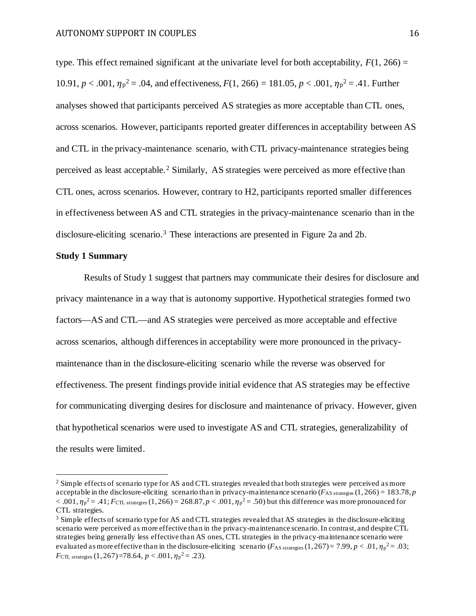type. This effect remained significant at the univariate level for both acceptability,  $F(1, 266) =$ 10.91,  $p < .001$ ,  $\eta_p^2 = .04$ , and effectiveness,  $F(1, 266) = 181.05$ ,  $p < .001$ ,  $\eta_p^2 = .41$ . Further analyses showed that participants perceived AS strategies as more acceptable than CTL ones, across scenarios. However, participants reported greater differences in acceptability between AS and CTL in the privacy-maintenance scenario, with CTL privacy-maintenance strategies being perceived as least acceptable. <sup>2</sup> Similarly, AS strategies were perceived as more effective than CTL ones, across scenarios. However, contrary to H2, participants reported smaller differences in effectiveness between AS and CTL strategies in the privacy-maintenance scenario than in the disclosure-eliciting scenario.3 These interactions are presented in Figure 2a and 2b.

# **Study 1 Summary**

Results of Study 1 suggest that partners may communicate their desires for disclosure and privacy maintenance in a way that is autonomy supportive. Hypothetical strategies formed two factors—AS and CTL—and AS strategies were perceived as more acceptable and effective across scenarios, although differences in acceptability were more pronounced in the privacymaintenance than in the disclosure-eliciting scenario while the reverse was observed for effectiveness. The present findings provide initial evidence that AS strategies may be effective for communicating diverging desires for disclosure and maintenance of privacy. However, given that hypothetical scenarios were used to investigate AS and CTL strategies, generalizability of the results were limited.

<sup>&</sup>lt;sup>2</sup> Simple effects of scenario type for AS and CTL strategies revealed that both strategies were perceived as more acceptable in the disclosure-eliciting scenario than in privacy-maintenance scenario ( $F_{AS\, strategic}(1, 266) = 183.78, p$  $< .001$ ,  $\eta_p^2 = .41$ ;  $F_{\text{CTL strategies}}(1, 266) = 268.87$ ,  $p < .001$ ,  $\eta_p^2 = .50$ ) but this difference was more pronounced for CTL strategies.

<sup>3</sup> Simple effects of scenario type for AS and CTL strategies revealed that AS strategies in the disclosure-eliciting scenario were perceived as more effective than in the privacy-maintenance scenario. In contrast, and despite CTL strategies being generally less effective than AS ones, CTL strategies in the privacy-maintenance scenario were evaluated as more effective than in the disclosure-eliciting scenario  $(F_{AS\ strategies}(1,267)=7.99, p < .01, \eta_p^2=.03;$ *F*CTL strategies (1,267)=78.64,  $p < .001$ ,  $\eta_p^2 = .23$ ).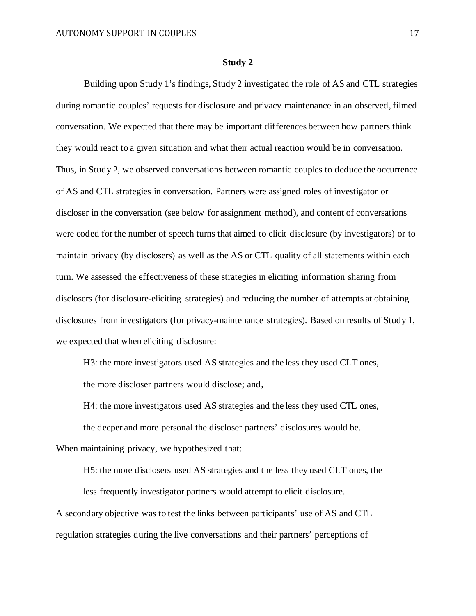#### **Study 2**

 Building upon Study 1's findings, Study 2 investigated the role of AS and CTL strategies during romantic couples' requests for disclosure and privacy maintenance in an observed, filmed conversation. We expected that there may be important differences between how partners think they would react to a given situation and what their actual reaction would be in conversation. Thus, in Study 2, we observed conversations between romantic couples to deduce the occurrence of AS and CTL strategies in conversation. Partners were assigned roles of investigator or discloser in the conversation (see below for assignment method), and content of conversations were coded for the number of speech turns that aimed to elicit disclosure (by investigators) or to maintain privacy (by disclosers) as well as the AS or CTL quality of all statements within each turn. We assessed the effectiveness of these strategies in eliciting information sharing from disclosers (for disclosure-eliciting strategies) and reducing the number of attempts at obtaining disclosures from investigators (for privacy-maintenance strategies). Based on results of Study 1, we expected that when eliciting disclosure:

H3: the more investigators used AS strategies and the less they used CLT ones, the more discloser partners would disclose; and,

H4: the more investigators used AS strategies and the less they used CTL ones, the deeper and more personal the discloser partners' disclosures would be. When maintaining privacy, we hypothesized that:

H5: the more disclosers used AS strategies and the less they used CLT ones, the less frequently investigator partners would attempt to elicit disclosure. A secondary objective was to test the links between participants' use of AS and CTL

regulation strategies during the live conversations and their partners' perceptions of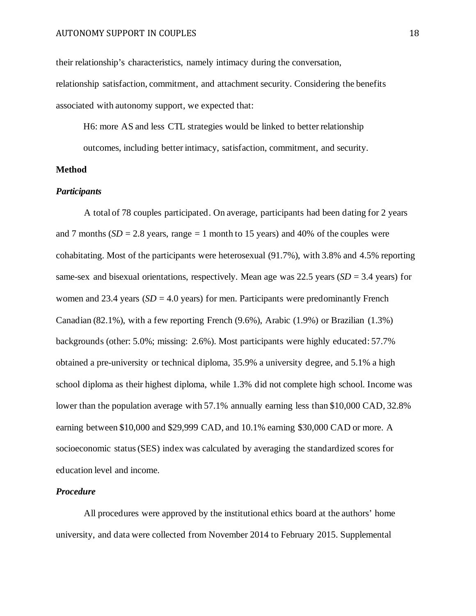their relationship's characteristics, namely intimacy during the conversation, relationship satisfaction, commitment, and attachment security. Considering the benefits associated with autonomy support, we expected that:

H6: more AS and less CTL strategies would be linked to better relationship outcomes, including better intimacy, satisfaction, commitment, and security.

### **Method**

#### *Participants*

A total of 78 couples participated. On average, participants had been dating for 2 years and 7 months  $(SD = 2.8$  years, range  $= 1$  month to 15 years) and 40% of the couples were cohabitating. Most of the participants were heterosexual (91.7%), with 3.8% and 4.5% reporting same-sex and bisexual orientations, respectively. Mean age was 22.5 years (*SD* = 3.4 years) for women and 23.4 years  $(SD = 4.0$  years) for men. Participants were predominantly French Canadian (82.1%), with a few reporting French (9.6%), Arabic (1.9%) or Brazilian (1.3%) backgrounds (other: 5.0%; missing: 2.6%). Most participants were highly educated: 57.7% obtained a pre-university or technical diploma, 35.9% a university degree, and 5.1% a high school diploma as their highest diploma, while 1.3% did not complete high school. Income was lower than the population average with 57.1% annually earning less than \$10,000 CAD, 32.8% earning between \$10,000 and \$29,999 CAD, and 10.1% earning \$30,000 CAD or more. A socioeconomic status (SES) index was calculated by averaging the standardized scores for education level and income.

# *Procedure*

All procedures were approved by the institutional ethics board at the authors' home university, and data were collected from November 2014 to February 2015. Supplemental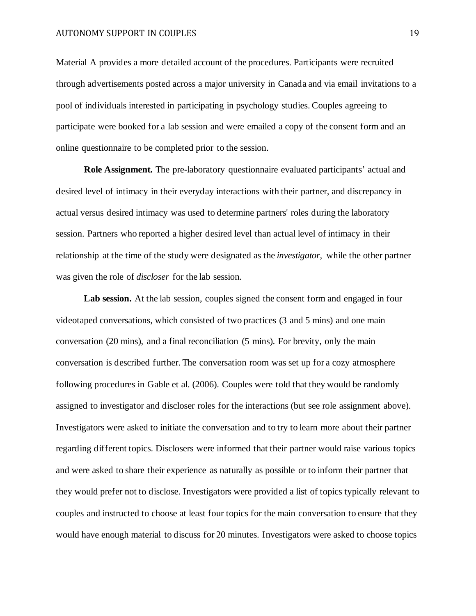Material A provides a more detailed account of the procedures. Participants were recruited through advertisements posted across a major university in Canada and via email invitations to a pool of individuals interested in participating in psychology studies. Couples agreeing to participate were booked for a lab session and were emailed a copy of the consent form and an online questionnaire to be completed prior to the session.

**Role Assignment.** The pre-laboratory questionnaire evaluated participants' actual and desired level of intimacy in their everyday interactions with their partner, and discrepancy in actual versus desired intimacy was used to determine partners' roles during the laboratory session. Partners who reported a higher desired level than actual level of intimacy in their relationship at the time of the study were designated as the *investigator*, while the other partner was given the role of *discloser* for the lab session.

Lab session. At the lab session, couples signed the consent form and engaged in four videotaped conversations, which consisted of two practices (3 and 5 mins) and one main conversation (20 mins), and a final reconciliation (5 mins). For brevity, only the main conversation is described further. The conversation room was set up for a cozy atmosphere following procedures in Gable et al. (2006). Couples were told that they would be randomly assigned to investigator and discloser roles for the interactions (but see role assignment above). Investigators were asked to initiate the conversation and to try to learn more about their partner regarding different topics. Disclosers were informed that their partner would raise various topics and were asked to share their experience as naturally as possible or to inform their partner that they would prefer not to disclose. Investigators were provided a list of topics typically relevant to couples and instructed to choose at least four topics for the main conversation to ensure that they would have enough material to discuss for 20 minutes. Investigators were asked to choose topics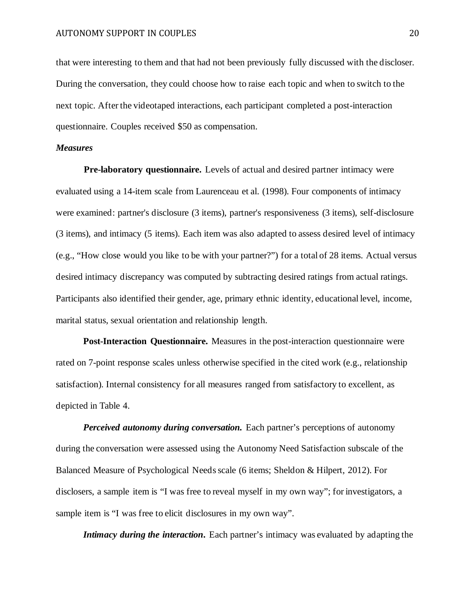that were interesting to them and that had not been previously fully discussed with the discloser. During the conversation, they could choose how to raise each topic and when to switch to the next topic. After the videotaped interactions, each participant completed a post-interaction questionnaire. Couples received \$50 as compensation.

#### *Measures*

**Pre-laboratory questionnaire.** Levels of actual and desired partner intimacy were evaluated using a 14-item scale from Laurenceau et al. (1998). Four components of intimacy were examined: partner's disclosure (3 items), partner's responsiveness (3 items), self-disclosure (3 items), and intimacy (5 items). Each item was also adapted to assess desired level of intimacy (e.g., "How close would you like to be with your partner?") for a total of 28 items. Actual versus desired intimacy discrepancy was computed by subtracting desired ratings from actual ratings. Participants also identified their gender, age, primary ethnic identity, educational level, income, marital status, sexual orientation and relationship length.

**Post-Interaction Questionnaire.** Measures in the post-interaction questionnaire were rated on 7-point response scales unless otherwise specified in the cited work (e.g., relationship satisfaction). Internal consistency for all measures ranged from satisfactory to excellent, as depicted in Table 4.

*Perceived autonomy during conversation.* Each partner's perceptions of autonomy during the conversation were assessed using the Autonomy Need Satisfaction subscale of the Balanced Measure of Psychological Needs scale (6 items; Sheldon & Hilpert, 2012). For disclosers, a sample item is "I was free to reveal myself in my own way"; for investigators, a sample item is "I was free to elicit disclosures in my own way".

*Intimacy during the interaction*. Each partner's intimacy was evaluated by adapting the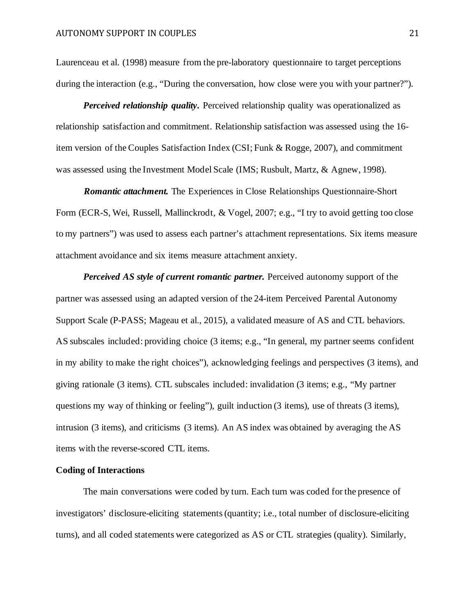Laurenceau et al. (1998) measure from the pre-laboratory questionnaire to target perceptions during the interaction (e.g., "During the conversation, how close were you with your partner?").

*Perceived relationship quality***.** Perceived relationship quality was operationalized as relationship satisfaction and commitment. Relationship satisfaction was assessed using the 16 item version of the Couples Satisfaction Index (CSI; Funk & Rogge, 2007), and commitment was assessed using the Investment Model Scale (IMS; Rusbult, Martz, & Agnew, 1998).

*Romantic attachment.* The Experiences in Close Relationships Questionnaire-Short Form (ECR-S, Wei, Russell, Mallinckrodt, & Vogel, 2007; e.g., "I try to avoid getting too close to my partners") was used to assess each partner's attachment representations. Six items measure attachment avoidance and six items measure attachment anxiety.

*Perceived AS style of current romantic partner.* Perceived autonomy support of the partner was assessed using an adapted version of the 24-item Perceived Parental Autonomy Support Scale (P-PASS; Mageau et al., 2015), a validated measure of AS and CTL behaviors. AS subscales included: providing choice (3 items; e.g., "In general, my partner seems confident in my ability to make the right choices"), acknowledging feelings and perspectives (3 items), and giving rationale (3 items). CTL subscales included: invalidation (3 items; e.g., "My partner questions my way of thinking or feeling"), guilt induction (3 items), use of threats (3 items), intrusion (3 items), and criticisms (3 items). An AS index was obtained by averaging the AS items with the reverse-scored CTL items.

# **Coding of Interactions**

The main conversations were coded by turn. Each turn was coded for the presence of investigators' disclosure-eliciting statements (quantity; i.e., total number of disclosure-eliciting turns), and all coded statements were categorized as AS or CTL strategies (quality). Similarly,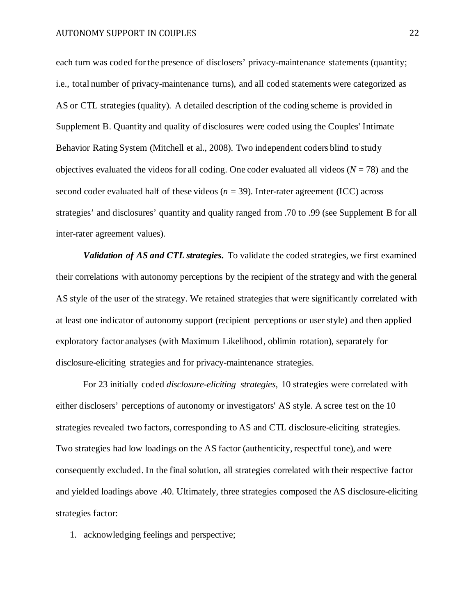each turn was coded for the presence of disclosers' privacy-maintenance statements (quantity; i.e., total number of privacy-maintenance turns), and all coded statements were categorized as AS or CTL strategies (quality). A detailed description of the coding scheme is provided in Supplement B. Quantity and quality of disclosures were coded using the Couples' Intimate Behavior Rating System (Mitchell et al., 2008). Two independent coders blind to study objectives evaluated the videos for all coding. One coder evaluated all videos  $(N = 78)$  and the second coder evaluated half of these videos  $(n = 39)$ . Inter-rater agreement (ICC) across strategies' and disclosures' quantity and quality ranged from .70 to .99 (see Supplement B for all inter-rater agreement values).

*Validation of AS and CTL strategies***.** To validate the coded strategies, we first examined their correlations with autonomy perceptions by the recipient of the strategy and with the general AS style of the user of the strategy. We retained strategies that were significantly correlated with at least one indicator of autonomy support (recipient perceptions or user style) and then applied exploratory factor analyses (with Maximum Likelihood, oblimin rotation), separately for disclosure-eliciting strategies and for privacy-maintenance strategies.

For 23 initially coded *disclosure-eliciting strategies*, 10 strategies were correlated with either disclosers' perceptions of autonomy or investigators' AS style. A scree test on the 10 strategies revealed two factors, corresponding to AS and CTL disclosure-eliciting strategies. Two strategies had low loadings on the AS factor (authenticity, respectful tone), and were consequently excluded. In the final solution, all strategies correlated with their respective factor and yielded loadings above .40. Ultimately, three strategies composed the AS disclosure-eliciting strategies factor:

1. acknowledging feelings and perspective;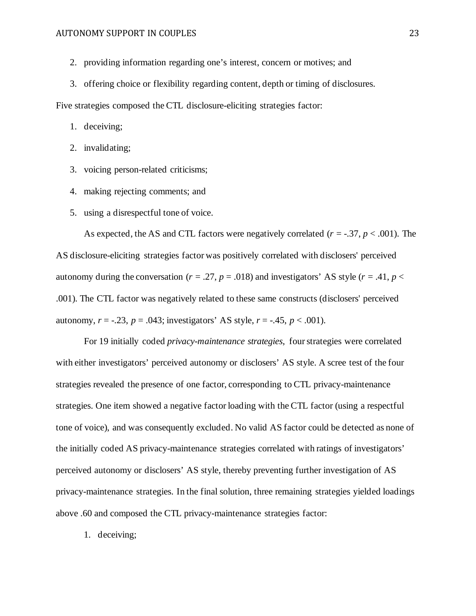- 2. providing information regarding one's interest, concern or motives; and
- 3. offering choice or flexibility regarding content, depth or timing of disclosures.

Five strategies composed the CTL disclosure-eliciting strategies factor:

1. deceiving;

- 2. invalidating;
- 3. voicing person-related criticisms;
- 4. making rejecting comments; and
- 5. using a disrespectful tone of voice.

As expected, the AS and CTL factors were negatively correlated (*r* = -.37, *p* < .001). The AS disclosure-eliciting strategies factor was positively correlated with disclosers' perceived autonomy during the conversation ( $r = .27$ ,  $p = .018$ ) and investigators' AS style ( $r = .41$ ,  $p <$ .001). The CTL factor was negatively related to these same constructs (disclosers' perceived autonomy,  $r = -.23$ ,  $p = .043$ ; investigators' AS style,  $r = -.45$ ,  $p < .001$ ).

For 19 initially coded *privacy-maintenance strategies*, four strategies were correlated with either investigators' perceived autonomy or disclosers' AS style. A scree test of the four strategies revealed the presence of one factor, corresponding to CTL privacy-maintenance strategies. One item showed a negative factor loading with the CTL factor (using a respectful tone of voice), and was consequently excluded. No valid AS factor could be detected as none of the initially coded AS privacy-maintenance strategies correlated with ratings of investigators' perceived autonomy or disclosers' AS style, thereby preventing further investigation of AS privacy-maintenance strategies. In the final solution, three remaining strategies yielded loadings above .60 and composed the CTL privacy-maintenance strategies factor:

1. deceiving;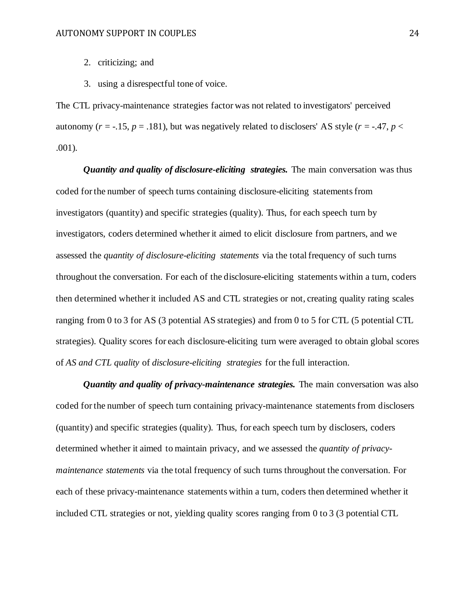- 2. criticizing; and
- 3. using a disrespectful tone of voice.

The CTL privacy-maintenance strategies factor was not related to investigators' perceived autonomy ( $r = -.15$ ,  $p = .181$ ), but was negatively related to disclosers' AS style ( $r = -.47$ ,  $p <$ .001).

*Quantity and quality of disclosure-eliciting strategies.* The main conversation was thus coded for the number of speech turns containing disclosure-eliciting statements from investigators (quantity) and specific strategies (quality). Thus, for each speech turn by investigators, coders determined whether it aimed to elicit disclosure from partners, and we assessed the *quantity of disclosure-eliciting statements* via the total frequency of such turns throughout the conversation. For each of the disclosure-eliciting statements within a turn, coders then determined whether it included AS and CTL strategies or not, creating quality rating scales ranging from 0 to 3 for AS (3 potential AS strategies) and from 0 to 5 for CTL (5 potential CTL strategies). Quality scores for each disclosure-eliciting turn were averaged to obtain global scores of *AS and CTL quality* of *disclosure-eliciting strategies* for the full interaction.

*Quantity and quality of privacy-maintenance strategies.* The main conversation was also coded for the number of speech turn containing privacy-maintenance statements from disclosers (quantity) and specific strategies (quality). Thus, for each speech turn by disclosers, coders determined whether it aimed to maintain privacy, and we assessed the *quantity of privacymaintenance statements* via the total frequency of such turns throughout the conversation. For each of these privacy-maintenance statements within a turn, coders then determined whether it included CTL strategies or not, yielding quality scores ranging from 0 to 3 (3 potential CTL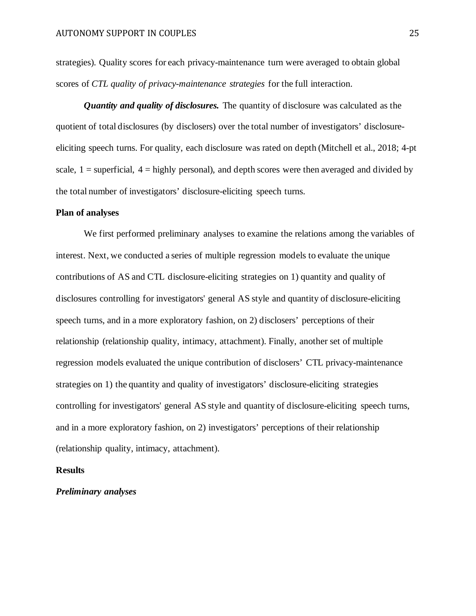strategies). Quality scores for each privacy-maintenance turn were averaged to obtain global scores of *CTL quality of privacy-maintenance strategies* for the full interaction.

*Quantity and quality of disclosures.* The quantity of disclosure was calculated as the quotient of total disclosures (by disclosers) over the total number of investigators' disclosureeliciting speech turns. For quality, each disclosure was rated on depth (Mitchell et al., 2018; 4-pt scale,  $1 =$  superficial,  $4 =$  highly personal), and depth scores were then averaged and divided by the total number of investigators' disclosure-eliciting speech turns.

#### **Plan of analyses**

We first performed preliminary analyses to examine the relations among the variables of interest. Next, we conducted a series of multiple regression models to evaluate the unique contributions of AS and CTL disclosure-eliciting strategies on 1) quantity and quality of disclosures controlling for investigators' general AS style and quantity of disclosure-eliciting speech turns, and in a more exploratory fashion, on 2) disclosers' perceptions of their relationship (relationship quality, intimacy, attachment). Finally, another set of multiple regression models evaluated the unique contribution of disclosers' CTL privacy-maintenance strategies on 1) the quantity and quality of investigators' disclosure-eliciting strategies controlling for investigators' general AS style and quantity of disclosure-eliciting speech turns, and in a more exploratory fashion, on 2) investigators' perceptions of their relationship (relationship quality, intimacy, attachment).

# **Results**

# *Preliminary analyses*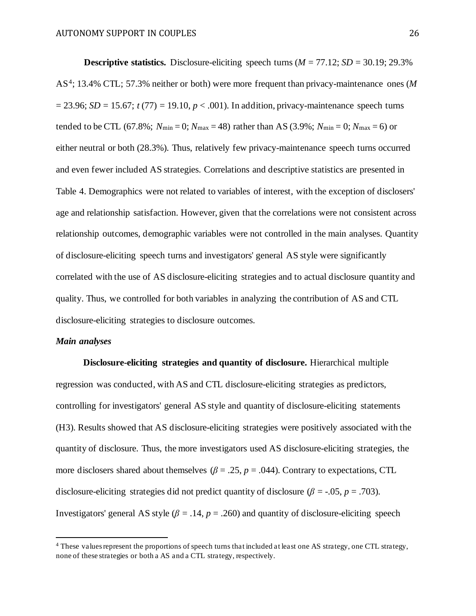**Descriptive statistics.** Disclosure-eliciting speech turns  $(M = 77.12; SD = 30.19; 29.3\%$ AS4; 13.4% CTL; 57.3% neither or both) were more frequent than privacy-maintenance ones (*M*   $= 23.96$ ; *SD* = 15.67; *t* (77) = 19.10, *p* < .001). In addition, privacy-maintenance speech turns tended to be CTL (67.8%;  $N_{\text{min}} = 0$ ;  $N_{\text{max}} = 48$ ) rather than AS (3.9%;  $N_{\text{min}} = 0$ ;  $N_{\text{max}} = 6$ ) or either neutral or both (28.3%). Thus, relatively few privacy-maintenance speech turns occurred and even fewer included AS strategies. Correlations and descriptive statistics are presented in Table 4. Demographics were not related to variables of interest, with the exception of disclosers' age and relationship satisfaction. However, given that the correlations were not consistent across relationship outcomes, demographic variables were not controlled in the main analyses. Quantity of disclosure-eliciting speech turns and investigators' general AS style were significantly correlated with the use of AS disclosure-eliciting strategies and to actual disclosure quantity and quality. Thus, we controlled for both variables in analyzing the contribution of AS and CTL disclosure-eliciting strategies to disclosure outcomes.

#### *Main analyses*

**Disclosure-eliciting strategies and quantity of disclosure.** Hierarchical multiple regression was conducted, with AS and CTL disclosure-eliciting strategies as predictors, controlling for investigators' general AS style and quantity of disclosure-eliciting statements (H3). Results showed that AS disclosure-eliciting strategies were positively associated with the quantity of disclosure. Thus, the more investigators used AS disclosure-eliciting strategies, the more disclosers shared about themselves ( $\beta = .25$ ,  $p = .044$ ). Contrary to expectations, CTL disclosure-eliciting strategies did not predict quantity of disclosure ( $\beta$  = -.05, *p* = .703). Investigators' general AS style  $(\beta = .14, p = .260)$  and quantity of disclosure-eliciting speech

<sup>&</sup>lt;sup>4</sup> These values represent the proportions of speech turns that included at least one AS strategy, one CTL strategy, none of these strategies or both a AS and a CTL strategy, respectively.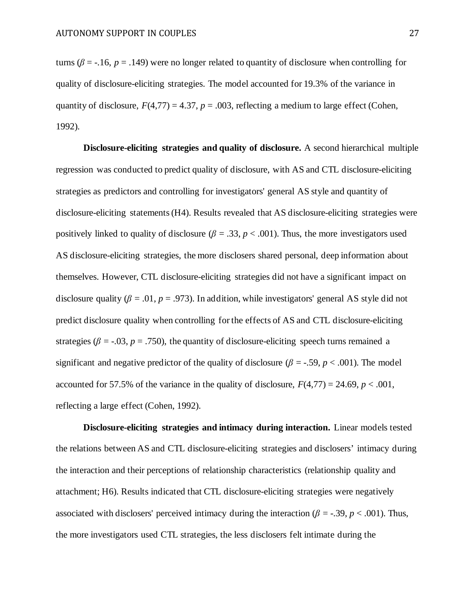turns ( $\beta$  = -.16,  $p$  = .149) were no longer related to quantity of disclosure when controlling for quality of disclosure-eliciting strategies. The model accounted for 19.3% of the variance in quantity of disclosure,  $F(4,77) = 4.37$ ,  $p = .003$ , reflecting a medium to large effect (Cohen, 1992).

**Disclosure-eliciting strategies and quality of disclosure.** A second hierarchical multiple regression was conducted to predict quality of disclosure, with AS and CTL disclosure-eliciting strategies as predictors and controlling for investigators' general AS style and quantity of disclosure-eliciting statements (H4). Results revealed that AS disclosure-eliciting strategies were positively linked to quality of disclosure ( $\beta = .33$ ,  $p < .001$ ). Thus, the more investigators used AS disclosure-eliciting strategies, the more disclosers shared personal, deep information about themselves. However, CTL disclosure-eliciting strategies did not have a significant impact on disclosure quality ( $\beta = .01$ ,  $p = .973$ ). In addition, while investigators' general AS style did not predict disclosure quality when controlling for the effects of AS and CTL disclosure-eliciting strategies ( $\beta$  = -.03,  $p$  = .750), the quantity of disclosure-eliciting speech turns remained a significant and negative predictor of the quality of disclosure ( $\beta = -0.59$ ,  $p < .001$ ). The model accounted for 57.5% of the variance in the quality of disclosure,  $F(4,77) = 24.69$ ,  $p < .001$ , reflecting a large effect (Cohen, 1992).

**Disclosure-eliciting strategies and intimacy during interaction.** Linear models tested the relations between AS and CTL disclosure-eliciting strategies and disclosers' intimacy during the interaction and their perceptions of relationship characteristics (relationship quality and attachment; H6). Results indicated that CTL disclosure-eliciting strategies were negatively associated with disclosers' perceived intimacy during the interaction ( $\beta$  = -.39,  $p$  < .001). Thus, the more investigators used CTL strategies, the less disclosers felt intimate during the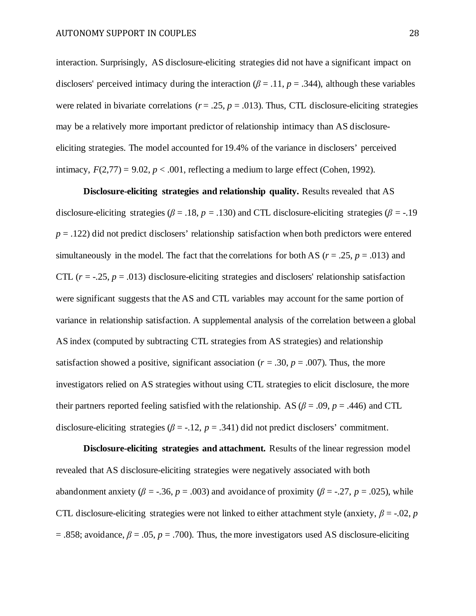interaction. Surprisingly, AS disclosure-eliciting strategies did not have a significant impact on disclosers' perceived intimacy during the interaction ( $\beta$  = .11,  $p$  = .344), although these variables were related in bivariate correlations ( $r = .25$ ,  $p = .013$ ). Thus, CTL disclosure-eliciting strategies may be a relatively more important predictor of relationship intimacy than AS disclosureeliciting strategies. The model accounted for 19.4% of the variance in disclosers' perceived intimacy,  $F(2,77) = 9.02$ ,  $p < .001$ , reflecting a medium to large effect (Cohen, 1992).

**Disclosure-eliciting strategies and relationship quality. Results revealed that AS** disclosure-eliciting strategies ( $\beta$  = .18, *p* = .130) and CTL disclosure-eliciting strategies ( $\beta$  = -.19  $p = .122$ ) did not predict disclosers' relationship satisfaction when both predictors were entered simultaneously in the model. The fact that the correlations for both AS ( $r = .25$ ,  $p = .013$ ) and CTL  $(r = -.25, p = .013)$  disclosure-eliciting strategies and disclosers' relationship satisfaction were significant suggests that the AS and CTL variables may account for the same portion of variance in relationship satisfaction. A supplemental analysis of the correlation between a global AS index (computed by subtracting CTL strategies from AS strategies) and relationship satisfaction showed a positive, significant association ( $r = .30$ ,  $p = .007$ ). Thus, the more investigators relied on AS strategies without using CTL strategies to elicit disclosure, the more their partners reported feeling satisfied with the relationship. AS  $(\beta = .09, p = .446)$  and CTL disclosure-eliciting strategies ( $\beta$  = -.12,  $p$  = .341) did not predict disclosers' commitment.

**Disclosure-eliciting strategies and attachment.** Results of the linear regression model revealed that AS disclosure-eliciting strategies were negatively associated with both abandonment anxiety ( $\beta$  = -.36,  $p$  = .003) and avoidance of proximity ( $\beta$  = -.27,  $p$  = .025), while CTL disclosure-eliciting strategies were not linked to either attachment style (anxiety,  $\beta = -.02$ , *p* = .858; avoidance,  $\beta$  = .05,  $p$  = .700). Thus, the more investigators used AS disclosure-eliciting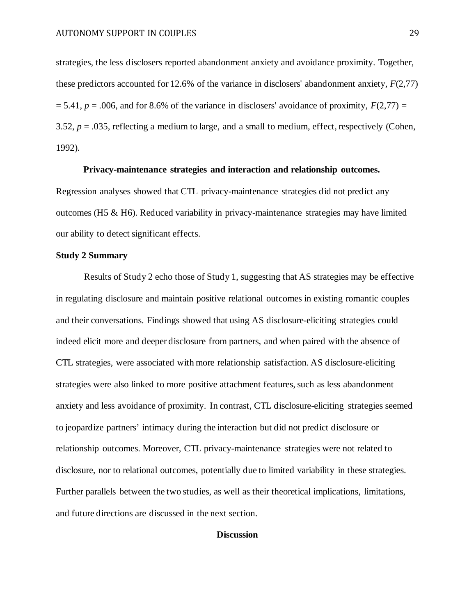strategies, the less disclosers reported abandonment anxiety and avoidance proximity. Together, these predictors accounted for 12.6% of the variance in disclosers' abandonment anxiety, *F*(2,77)  $= 5.41, p = .006$ , and for 8.6% of the variance in disclosers' avoidance of proximity,  $F(2.77) =$ 3.52, *p* = .035, reflecting a medium to large, and a small to medium, effect, respectively (Cohen, 1992).

## **Privacy-maintenance strategies and interaction and relationship outcomes.**

Regression analyses showed that CTL privacy-maintenance strategies did not predict any outcomes (H5 & H6). Reduced variability in privacy-maintenance strategies may have limited our ability to detect significant effects.

# **Study 2 Summary**

 Results of Study 2 echo those of Study 1, suggesting that AS strategies may be effective in regulating disclosure and maintain positive relational outcomes in existing romantic couples and their conversations. Findings showed that using AS disclosure-eliciting strategies could indeed elicit more and deeper disclosure from partners, and when paired with the absence of CTL strategies, were associated with more relationship satisfaction. AS disclosure-eliciting strategies were also linked to more positive attachment features, such as less abandonment anxiety and less avoidance of proximity. In contrast, CTL disclosure-eliciting strategies seemed to jeopardize partners' intimacy during the interaction but did not predict disclosure or relationship outcomes. Moreover, CTL privacy-maintenance strategies were not related to disclosure, nor to relational outcomes, potentially due to limited variability in these strategies. Further parallels between the two studies, as well as their theoretical implications, limitations, and future directions are discussed in the next section.

# **Discussion**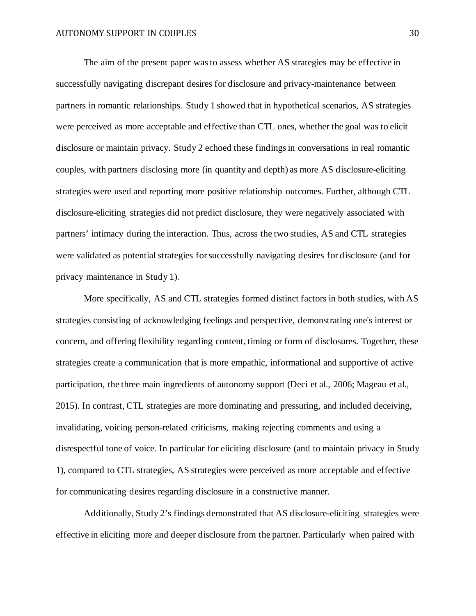The aim of the present paper was to assess whether AS strategies may be effective in successfully navigating discrepant desires for disclosure and privacy-maintenance between partners in romantic relationships. Study 1 showed that in hypothetical scenarios, AS strategies were perceived as more acceptable and effective than CTL ones, whether the goal was to elicit disclosure or maintain privacy. Study 2 echoed these findings in conversations in real romantic couples, with partners disclosing more (in quantity and depth) as more AS disclosure-eliciting strategies were used and reporting more positive relationship outcomes. Further, although CTL disclosure-eliciting strategies did not predict disclosure, they were negatively associated with partners' intimacy during the interaction. Thus, across the two studies, AS and CTL strategies were validated as potential strategies for successfully navigating desires for disclosure (and for privacy maintenance in Study 1).

More specifically, AS and CTL strategies formed distinct factors in both studies, with AS strategies consisting of acknowledging feelings and perspective, demonstrating one's interest or concern, and offering flexibility regarding content, timing or form of disclosures. Together, these strategies create a communication that is more empathic, informational and supportive of active participation, the three main ingredients of autonomy support (Deci et al., 2006; Mageau et al., 2015). In contrast, CTL strategies are more dominating and pressuring, and included deceiving, invalidating, voicing person-related criticisms, making rejecting comments and using a disrespectful tone of voice. In particular for eliciting disclosure (and to maintain privacy in Study 1), compared to CTL strategies, AS strategies were perceived as more acceptable and effective for communicating desires regarding disclosure in a constructive manner.

Additionally, Study 2's findings demonstrated that AS disclosure-eliciting strategies were effective in eliciting more and deeper disclosure from the partner. Particularly when paired with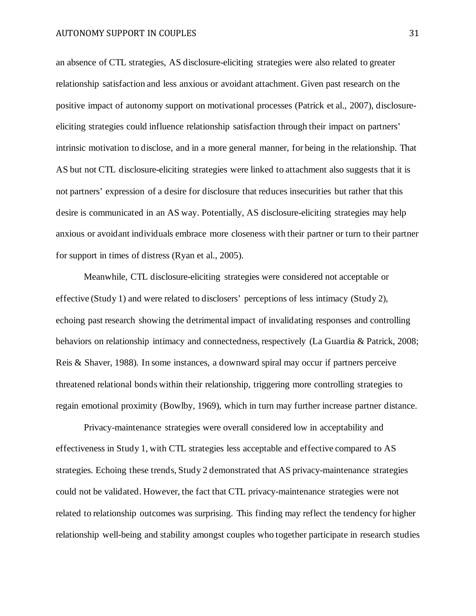an absence of CTL strategies, AS disclosure-eliciting strategies were also related to greater relationship satisfaction and less anxious or avoidant attachment. Given past research on the positive impact of autonomy support on motivational processes (Patrick et al., 2007), disclosureeliciting strategies could influence relationship satisfaction through their impact on partners' intrinsic motivation to disclose, and in a more general manner, for being in the relationship. That AS but not CTL disclosure-eliciting strategies were linked to attachment also suggests that it is not partners' expression of a desire for disclosure that reduces insecurities but rather that this desire is communicated in an AS way. Potentially, AS disclosure-eliciting strategies may help anxious or avoidant individuals embrace more closeness with their partner or turn to their partner for support in times of distress (Ryan et al., 2005).

Meanwhile, CTL disclosure-eliciting strategies were considered not acceptable or effective (Study 1) and were related to disclosers' perceptions of less intimacy (Study 2), echoing past research showing the detrimental impact of invalidating responses and controlling behaviors on relationship intimacy and connectedness, respectively (La Guardia & Patrick, 2008; Reis & Shaver, 1988). In some instances, a downward spiral may occur if partners perceive threatened relational bonds within their relationship, triggering more controlling strategies to regain emotional proximity (Bowlby, 1969), which in turn may further increase partner distance.

Privacy-maintenance strategies were overall considered low in acceptability and effectiveness in Study 1, with CTL strategies less acceptable and effective compared to AS strategies. Echoing these trends, Study 2 demonstrated that AS privacy-maintenance strategies could not be validated. However, the fact that CTL privacy-maintenance strategies were not related to relationship outcomes was surprising. This finding may reflect the tendency for higher relationship well-being and stability amongst couples who together participate in research studies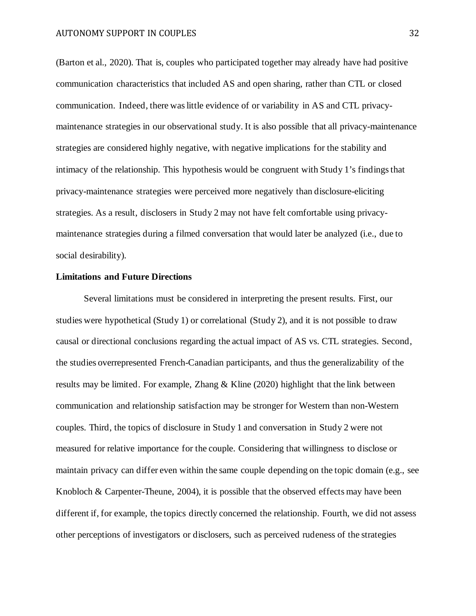(Barton et al., 2020). That is, couples who participated together may already have had positive communication characteristics that included AS and open sharing, rather than CTL or closed communication. Indeed, there was little evidence of or variability in AS and CTL privacymaintenance strategies in our observational study. It is also possible that all privacy-maintenance strategies are considered highly negative, with negative implications for the stability and intimacy of the relationship. This hypothesis would be congruent with Study 1's findings that privacy-maintenance strategies were perceived more negatively than disclosure-eliciting strategies. As a result, disclosers in Study 2 may not have felt comfortable using privacymaintenance strategies during a filmed conversation that would later be analyzed (i.e., due to social desirability).

# **Limitations and Future Directions**

Several limitations must be considered in interpreting the present results. First, our studies were hypothetical (Study 1) or correlational (Study 2), and it is not possible to draw causal or directional conclusions regarding the actual impact of AS vs. CTL strategies. Second, the studies overrepresented French-Canadian participants, and thus the generalizability of the results may be limited. For example, Zhang  $\&$  Kline (2020) highlight that the link between communication and relationship satisfaction may be stronger for Western than non-Western couples. Third, the topics of disclosure in Study 1 and conversation in Study 2 were not measured for relative importance for the couple. Considering that willingness to disclose or maintain privacy can differ even within the same couple depending on the topic domain (e.g., see Knobloch & Carpenter-Theune, 2004), it is possible that the observed effects may have been different if, for example, the topics directly concerned the relationship. Fourth, we did not assess other perceptions of investigators or disclosers, such as perceived rudeness of the strategies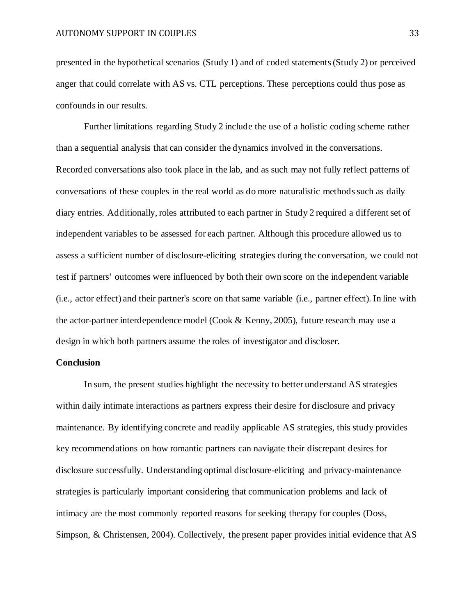presented in the hypothetical scenarios (Study 1) and of coded statements (Study 2) or perceived anger that could correlate with AS vs. CTL perceptions. These perceptions could thus pose as confounds in our results.

Further limitations regarding Study 2 include the use of a holistic coding scheme rather than a sequential analysis that can consider the dynamics involved in the conversations. Recorded conversations also took place in the lab, and as such may not fully reflect patterns of conversations of these couples in the real world as do more naturalistic methods such as daily diary entries. Additionally, roles attributed to each partner in Study 2 required a different set of independent variables to be assessed for each partner. Although this procedure allowed us to assess a sufficient number of disclosure-eliciting strategies during the conversation, we could not test if partners' outcomes were influenced by both their own score on the independent variable (i.e., actor effect) and their partner's score on that same variable (i.e., partner effect). In line with the actor-partner interdependence model (Cook & Kenny, 2005), future research may use a design in which both partners assume the roles of investigator and discloser.

# **Conclusion**

In sum, the present studies highlight the necessity to better understand AS strategies within daily intimate interactions as partners express their desire for disclosure and privacy maintenance. By identifying concrete and readily applicable AS strategies, this study provides key recommendations on how romantic partners can navigate their discrepant desires for disclosure successfully. Understanding optimal disclosure-eliciting and privacy-maintenance strategies is particularly important considering that communication problems and lack of intimacy are the most commonly reported reasons for seeking therapy for couples (Doss, Simpson, & Christensen, 2004). Collectively, the present paper provides initial evidence that AS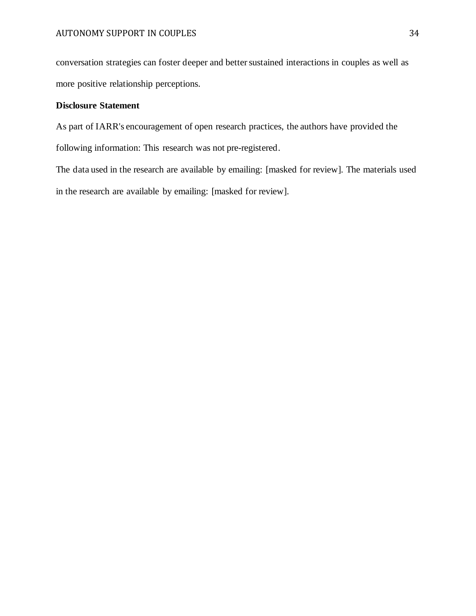conversation strategies can foster deeper and better sustained interactions in couples as well as more positive relationship perceptions.

# **Disclosure Statement**

As part of IARR's encouragement of open research practices, the authors have provided the following information: This research was not pre-registered.

The data used in the research are available by emailing: [masked for review]. The materials used in the research are available by emailing: [masked for review].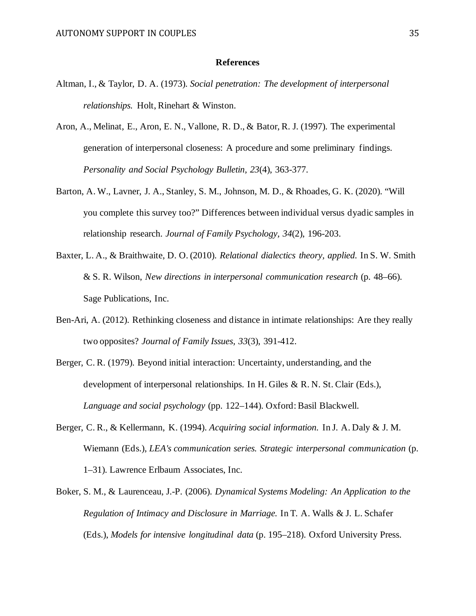### **References**

- Altman, I., & Taylor, D. A. (1973). *Social penetration: The development of interpersonal relationships.* Holt, Rinehart & Winston.
- Aron, A., Melinat, E., Aron, E. N., Vallone, R. D., & Bator, R. J. (1997). The experimental generation of interpersonal closeness: A procedure and some preliminary findings. *Personality and Social Psychology Bulletin, 23*(4), 363-377.
- Barton, A. W., Lavner, J. A., Stanley, S. M., Johnson, M. D., & Rhoades, G. K. (2020). "Will you complete this survey too?" Differences between individual versus dyadic samples in relationship research. *Journal of Family Psychology, 34*(2), 196-203.
- Baxter, L. A., & Braithwaite, D. O. (2010). *Relational dialectics theory, applied.* In S. W. Smith & S. R. Wilson, *New directions in interpersonal communication research* (p. 48–66). Sage Publications, Inc.
- Ben-Ari, A. (2012). Rethinking closeness and distance in intimate relationships: Are they really two opposites? *Journal of Family Issues, 33*(3), 391-412.
- Berger, C. R. (1979). Beyond initial interaction: Uncertainty, understanding, and the development of interpersonal relationships. In H. Giles & R. N. St. Clair (Eds.), *Language and social psychology* (pp. 122–144). Oxford: Basil Blackwell.
- Berger, C. R., & Kellermann, K. (1994). *Acquiring social information.* In J. A. Daly & J. M. Wiemann (Eds.), *LEA's communication series. Strategic interpersonal communication* (p. 1–31). Lawrence Erlbaum Associates, Inc.
- Boker, S. M., & Laurenceau, J.-P. (2006). *Dynamical Systems Modeling: An Application to the Regulation of Intimacy and Disclosure in Marriage.* In T. A. Walls & J. L. Schafer (Eds.), *Models for intensive longitudinal data* (p. 195–218). Oxford University Press.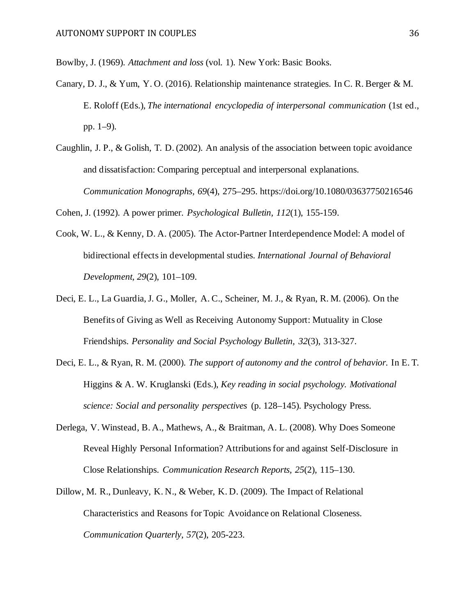Bowlby, J. (1969). *Attachment and loss* (vol. 1). New York: Basic Books.

- Canary, D. J., & Yum, Y. O. (2016). Relationship maintenance strategies. In C. R. Berger & M. E. Roloff (Eds.), *The international encyclopedia of interpersonal communication* (1st ed., pp. 1–9).
- Caughlin, J. P., & Golish, T. D. (2002). An analysis of the association between topic avoidance and dissatisfaction: Comparing perceptual and interpersonal explanations. *Communication Monographs, 69*(4), 275–295. https://doi.org/10.1080/03637750216546

Cohen, J. (1992). A power primer. *Psychological Bulletin, 112*(1), 155-159.

- Cook, W. L., & Kenny, D. A. (2005). The Actor-Partner Interdependence Model: A model of bidirectional effects in developmental studies. *International Journal of Behavioral Development, 29*(2), 101–109.
- Deci, E. L., La Guardia, J. G., Moller, A. C., Scheiner, M. J., & Ryan, R. M. (2006). On the Benefits of Giving as Well as Receiving Autonomy Support: Mutuality in Close Friendships. *Personality and Social Psychology Bulletin, 32*(3), 313-327.
- Deci, E. L., & Ryan, R. M. (2000). *The support of autonomy and the control of behavior.* In E. T. Higgins & A. W. Kruglanski (Eds.), *Key reading in social psychology. Motivational science: Social and personality perspectives* (p. 128–145). Psychology Press.
- Derlega, V. Winstead, B. A., Mathews, A., & Braitman, A. L. (2008). Why Does Someone Reveal Highly Personal Information? Attributions for and against Self-Disclosure in Close Relationships. *Communication Research Reports, 25*(2), 115–130.
- Dillow, M. R., Dunleavy, K. N., & Weber, K. D. (2009). The Impact of Relational Characteristics and Reasons for Topic Avoidance on Relational Closeness. *Communication Quarterly, 57*(2), 205-223.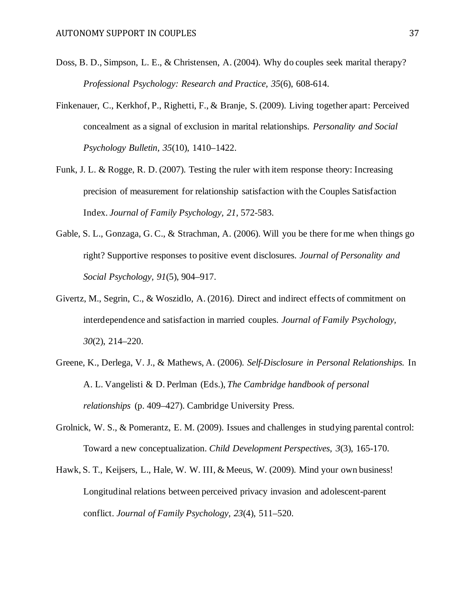- Doss, B. D., Simpson, L. E., & Christensen, A. (2004). Why do couples seek marital therapy? *Professional Psychology: Research and Practice, 35*(6), 608-614.
- Finkenauer, C., Kerkhof, P., Righetti, F., & Branje, S. (2009). Living together apart: Perceived concealment as a signal of exclusion in marital relationships. *Personality and Social Psychology Bulletin, 35*(10), 1410–1422.
- Funk, J. L. & Rogge, R. D. (2007). Testing the ruler with item response theory: Increasing precision of measurement for relationship satisfaction with the Couples Satisfaction Index. *Journal of Family Psychology, 21*, 572-583.
- Gable, S. L., Gonzaga, G. C., & Strachman, A. (2006). Will you be there for me when things go right? Supportive responses to positive event disclosures. *Journal of Personality and Social Psychology, 91*(5), 904–917.
- Givertz, M., Segrin, C., & Woszidlo, A. (2016). Direct and indirect effects of commitment on interdependence and satisfaction in married couples. *Journal of Family Psychology, 30*(2), 214–220.
- Greene, K., Derlega, V. J., & Mathews, A. (2006). *Self-Disclosure in Personal Relationships.* In A. L. Vangelisti & D. Perlman (Eds.), *The Cambridge handbook of personal relationships* (p. 409–427). Cambridge University Press.
- Grolnick, W. S., & Pomerantz, E. M. (2009). Issues and challenges in studying parental control: Toward a new conceptualization. *Child Development Perspectives, 3*(3), 165-170.
- Hawk, S. T., Keijsers, L., Hale, W. W. III, & Meeus, W. (2009). Mind your own business! Longitudinal relations between perceived privacy invasion and adolescent-parent conflict. *Journal of Family Psychology, 23*(4), 511–520.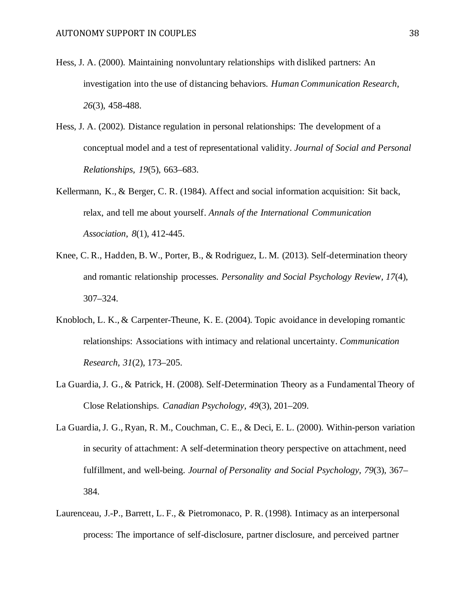- Hess, J. A. (2000). Maintaining nonvoluntary relationships with disliked partners: An investigation into the use of distancing behaviors. *Human Communication Research*, *26*(3), 458-488.
- Hess, J. A. (2002). Distance regulation in personal relationships: The development of a conceptual model and a test of representational validity. *Journal of Social and Personal Relationships, 19*(5), 663–683.
- Kellermann, K., & Berger, C. R. (1984). Affect and social information acquisition: Sit back, relax, and tell me about yourself. *Annals of the International Communication Association*, *8*(1), 412-445.
- Knee, C. R., Hadden, B. W., Porter, B., & Rodriguez, L. M. (2013). Self-determination theory and romantic relationship processes. *Personality and Social Psychology Review, 17*(4), 307–324.
- Knobloch, L. K., & Carpenter-Theune, K. E. (2004). Topic avoidance in developing romantic relationships: Associations with intimacy and relational uncertainty. *Communication Research, 31*(2), 173–205.
- La Guardia, J. G., & Patrick, H. (2008). Self-Determination Theory as a Fundamental Theory of Close Relationships. *Canadian Psychology, 49*(3), 201–209.
- La Guardia, J. G., Ryan, R. M., Couchman, C. E., & Deci, E. L. (2000). Within-person variation in security of attachment: A self-determination theory perspective on attachment, need fulfillment, and well-being. *Journal of Personality and Social Psychology, 79*(3), 367– 384.
- Laurenceau, J.-P., Barrett, L. F., & Pietromonaco, P. R. (1998). Intimacy as an interpersonal process: The importance of self-disclosure, partner disclosure, and perceived partner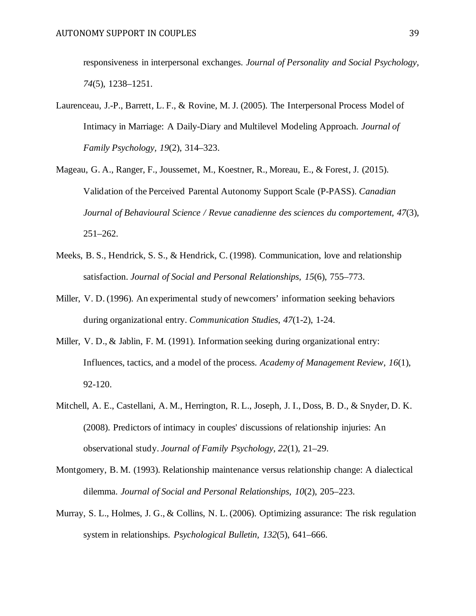responsiveness in interpersonal exchanges. *Journal of Personality and Social Psychology, 74*(5), 1238–1251.

- Laurenceau, J.-P., Barrett, L. F., & Rovine, M. J. (2005). The Interpersonal Process Model of Intimacy in Marriage: A Daily-Diary and Multilevel Modeling Approach. *Journal of Family Psychology, 19*(2), 314–323.
- Mageau, G. A., Ranger, F., Joussemet, M., Koestner, R., Moreau, E., & Forest, J. (2015). Validation of the Perceived Parental Autonomy Support Scale (P-PASS). *Canadian Journal of Behavioural Science / Revue canadienne des sciences du comportement, 47*(3), 251–262.
- Meeks, B. S., Hendrick, S. S., & Hendrick, C. (1998). Communication, love and relationship satisfaction. *Journal of Social and Personal Relationships, 15*(6), 755–773.
- Miller, V. D. (1996). An experimental study of newcomers' information seeking behaviors during organizational entry. *Communication Studies*, *47*(1-2), 1-24.
- Miller, V. D., & Jablin, F. M. (1991). Information seeking during organizational entry: Influences, tactics, and a model of the process. *Academy of Management Review*, *16*(1), 92-120.
- Mitchell, A. E., Castellani, A. M., Herrington, R. L., Joseph, J. I., Doss, B. D., & Snyder, D. K. (2008). Predictors of intimacy in couples' discussions of relationship injuries: An observational study. *Journal of Family Psychology, 22*(1), 21–29.
- Montgomery, B. M. (1993). Relationship maintenance versus relationship change: A dialectical dilemma. *Journal of Social and Personal Relationships, 10*(2), 205–223.
- Murray, S. L., Holmes, J. G., & Collins, N. L. (2006). Optimizing assurance: The risk regulation system in relationships. *Psychological Bulletin, 132*(5), 641–666.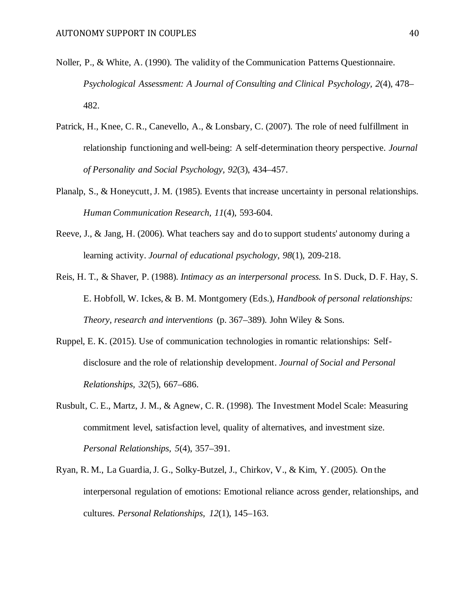- Noller, P., & White, A. (1990). The validity of the Communication Patterns Questionnaire. *Psychological Assessment: A Journal of Consulting and Clinical Psychology, 2*(4), 478– 482.
- Patrick, H., Knee, C. R., Canevello, A., & Lonsbary, C. (2007). The role of need fulfillment in relationship functioning and well-being: A self-determination theory perspective. *Journal of Personality and Social Psychology, 92*(3), 434–457.
- Planalp, S., & Honeycutt, J. M. (1985). Events that increase uncertainty in personal relationships. *Human Communication Research*, *11*(4), 593-604.
- Reeve, J., & Jang, H. (2006). What teachers say and do to support students' autonomy during a learning activity. *Journal of educational psychology*, *98*(1), 209-218.
- Reis, H. T., & Shaver, P. (1988). *Intimacy as an interpersonal process.* In S. Duck, D. F. Hay, S. E. Hobfoll, W. Ickes, & B. M. Montgomery (Eds.), *Handbook of personal relationships: Theory, research and interventions* (p. 367–389). John Wiley & Sons.
- Ruppel, E. K. (2015). Use of communication technologies in romantic relationships: Selfdisclosure and the role of relationship development. *Journal of Social and Personal Relationships, 32*(5), 667–686.
- Rusbult, C. E., Martz, J. M., & Agnew, C. R. (1998). The Investment Model Scale: Measuring commitment level, satisfaction level, quality of alternatives, and investment size. *Personal Relationships, 5*(4), 357–391.
- Ryan, R. M., La Guardia, J. G., Solky-Butzel, J., Chirkov, V., & Kim, Y. (2005). On the interpersonal regulation of emotions: Emotional reliance across gender, relationships, and cultures. *Personal Relationships, 12*(1), 145–163.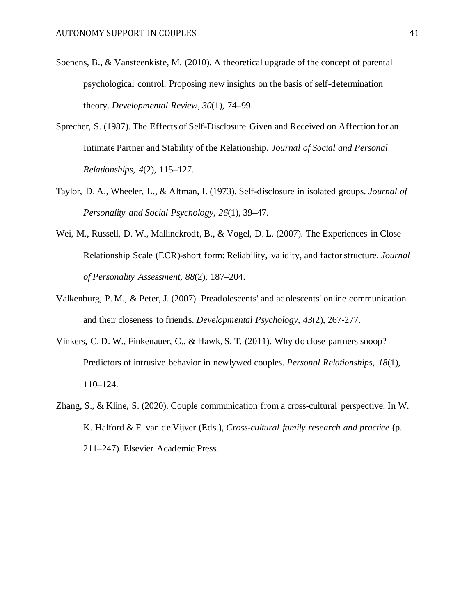- Soenens, B., & Vansteenkiste, M. (2010). A theoretical upgrade of the concept of parental psychological control: Proposing new insights on the basis of self-determination theory. *Developmental Review, 30*(1), 74–99.
- Sprecher, S. (1987). The Effects of Self-Disclosure Given and Received on Affection for an Intimate Partner and Stability of the Relationship. *Journal of Social and Personal Relationships, 4*(2), 115–127.
- Taylor, D. A., Wheeler, L., & Altman, I. (1973). Self-disclosure in isolated groups. *Journal of Personality and Social Psychology, 26*(1), 39–47.
- Wei, M., Russell, D. W., Mallinckrodt, B., & Vogel, D. L. (2007). The Experiences in Close Relationship Scale (ECR)-short form: Reliability, validity, and factor structure. *Journal of Personality Assessment, 88*(2), 187–204.
- Valkenburg, P. M., & Peter, J. (2007). Preadolescents' and adolescents' online communication and their closeness to friends. *Developmental Psychology, 43*(2), 267-277.
- Vinkers, C. D. W., Finkenauer, C., & Hawk, S. T. (2011). Why do close partners snoop? Predictors of intrusive behavior in newlywed couples. *Personal Relationships, 18*(1), 110–124.
- Zhang, S., & Kline, S. (2020). Couple communication from a cross-cultural perspective. In W. K. Halford & F. van de Vijver (Eds.), *Cross-cultural family research and practice* (p. 211–247). Elsevier Academic Press.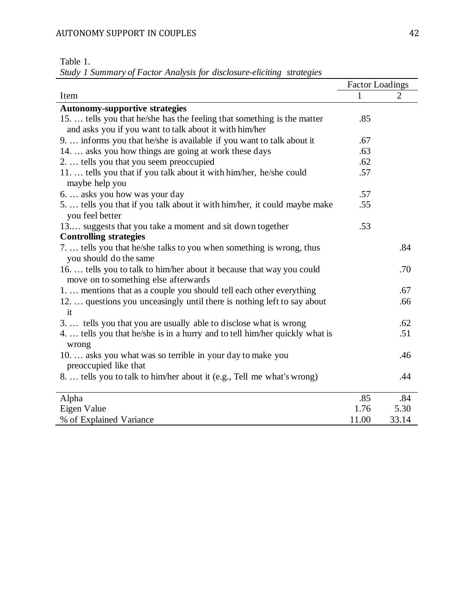| <b>Table</b> |  |
|--------------|--|
|--------------|--|

*Study 1 Summary of Factor Analysis for disclosure-eliciting strategies*

|                                                                                      | <b>Factor Loadings</b> |       |
|--------------------------------------------------------------------------------------|------------------------|-------|
| Item                                                                                 | 1                      | 2     |
| <b>Autonomy-supportive strategies</b>                                                |                        |       |
| 15 tells you that he/she has the feeling that something is the matter                | .85                    |       |
| and asks you if you want to talk about it with him/her                               |                        |       |
| 9.  informs you that he/she is available if you want to talk about it                | .67                    |       |
| 14.  asks you how things are going at work these days                                | .63                    |       |
| 2.  tells you that you seem preoccupied                                              | .62                    |       |
| 11.  tells you that if you talk about it with him/her, he/she could                  | .57                    |       |
| maybe help you                                                                       |                        |       |
| 6.  asks you how was your day                                                        | .57                    |       |
| 5.  tells you that if you talk about it with him/her, it could maybe make            | .55                    |       |
| you feel better                                                                      |                        |       |
| 13 suggests that you take a moment and sit down together                             | .53                    |       |
| <b>Controlling strategies</b>                                                        |                        |       |
| 7.  tells you that he/she talks to you when something is wrong, thus                 |                        | .84   |
| you should do the same                                                               |                        |       |
| 16.  tells you to talk to him/her about it because that way you could                |                        | .70   |
| move on to something else afterwards                                                 |                        |       |
| 1.  mentions that as a couple you should tell each other everything                  |                        | .67   |
| 12.  questions you unceasingly until there is nothing left to say about              |                        | .66   |
| it                                                                                   |                        |       |
| 3 tells you that you are usually able to disclose what is wrong                      |                        | .62   |
| 4.  tells you that he/she is in a hurry and to tell him/her quickly what is<br>wrong |                        | .51   |
| 10.  asks you what was so terrible in your day to make you                           |                        | .46   |
| preoccupied like that                                                                |                        |       |
| 8.  tells you to talk to him/her about it (e.g., Tell me what's wrong)               |                        | .44   |
|                                                                                      |                        |       |
| Alpha                                                                                | .85                    | .84   |
| Eigen Value                                                                          | 1.76                   | 5.30  |
| % of Explained Variance                                                              | 11.00                  | 33.14 |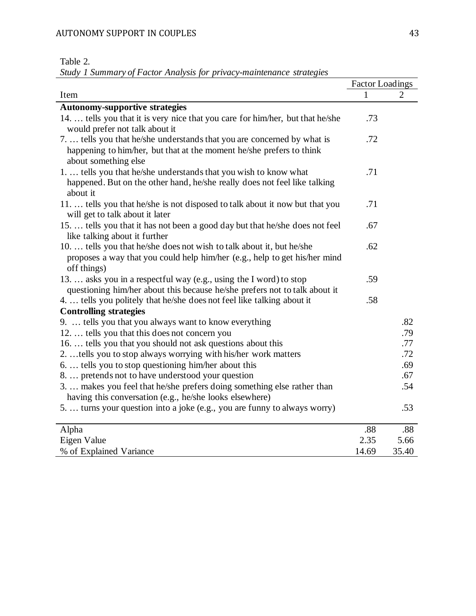| 'able |  |
|-------|--|
|-------|--|

*Study 1 Summary of Factor Analysis for privacy-maintenance strategies*

|                                                                                                                                                                         | <b>Factor Loadings</b> |       |
|-------------------------------------------------------------------------------------------------------------------------------------------------------------------------|------------------------|-------|
| Item                                                                                                                                                                    | 1                      | 2     |
| <b>Autonomy-supportive strategies</b>                                                                                                                                   |                        |       |
| 14.  tells you that it is very nice that you care for him/her, but that he/she<br>would prefer not talk about it                                                        | .73                    |       |
| 7.  tells you that he/she understands that you are concerned by what is<br>happening to him/her, but that at the moment he/she prefers to think<br>about something else | .72                    |       |
| 1.  tells you that he/she understands that you wish to know what<br>happened. But on the other hand, he/she really does not feel like talking<br>about it               | .71                    |       |
| 11.  tells you that he/she is not disposed to talk about it now but that you<br>will get to talk about it later                                                         | .71                    |       |
| 15.  tells you that it has not been a good day but that he/she does not feel<br>like talking about it further                                                           | .67                    |       |
| 10.  tells you that he/she does not wish to talk about it, but he/she<br>proposes a way that you could help him/her (e.g., help to get his/her mind<br>off things)      | .62                    |       |
| 13.  asks you in a respectful way (e.g., using the I word) to stop<br>questioning him/her about this because he/she prefers not to talk about it                        | .59                    |       |
| 4.  tells you politely that he/she does not feel like talking about it                                                                                                  | .58                    |       |
| <b>Controlling strategies</b>                                                                                                                                           |                        |       |
| 9.  tells you that you always want to know everything                                                                                                                   |                        | .82   |
| 12.  tells you that this does not concern you                                                                                                                           |                        | .79   |
| 16.  tells you that you should not ask questions about this                                                                                                             |                        | .77   |
| 2. tells you to stop always worrying with his/her work matters                                                                                                          |                        | .72   |
| 6.  tells you to stop questioning him/her about this                                                                                                                    |                        | .69   |
| 8.  pretends not to have understood your question                                                                                                                       |                        | .67   |
| 3.  makes you feel that he/she prefers doing something else rather than<br>having this conversation (e.g., he/she looks elsewhere)                                      |                        | .54   |
| 5.  turns your question into a joke (e.g., you are funny to always worry)                                                                                               |                        | .53   |
| Alpha                                                                                                                                                                   | .88                    | .88   |
| Eigen Value                                                                                                                                                             | 2.35                   | 5.66  |
| % of Explained Variance                                                                                                                                                 | 14.69                  | 35.40 |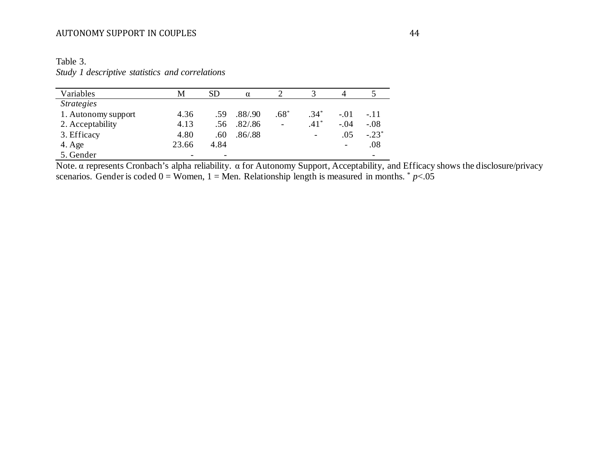| Variables                       | M     | SD   | $\alpha$ |                          |        |        |         |
|---------------------------------|-------|------|----------|--------------------------|--------|--------|---------|
| <i><u><b>Strategies</b></u></i> |       |      |          |                          |        |        |         |
| 1. Autonomy support             | 4.36  | .59  | .88/.90  | $.68^*$                  | $.34*$ | $-.01$ | $-.11$  |
| 2. Acceptability                | 4.13  | .56  | .82/0.86 | $\overline{\phantom{a}}$ | $.41*$ | $-.04$ | $-.08$  |
| 3. Efficacy                     | 4.80  | .60  | .86/0.88 |                          | -      | .05    | $-.23*$ |
| $4. \text{Age}$                 | 23.66 | 4.84 |          |                          |        | -      | .08     |
| 5. Gender                       |       | -    |          |                          |        |        | -       |

Table 3. *Study 1 descriptive statistics and correlations* 

Note. α represents Cronbach's alpha reliability. α for Autonomy Support, Acceptability, and Efficacy shows the disclosure/privacy scenarios. Gender is coded  $0 =$  Women,  $1 =$  Men. Relationship length is measured in months.  $p \lt 0.05$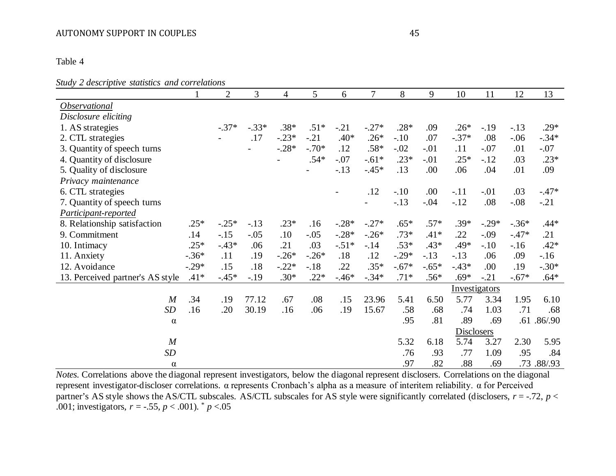Table 4

*Study 2 descriptive statistics and correlations* 

| $\blacksquare$ weber up the statistics and even |         | $\overline{2}$ | 3       | $\overline{4}$ | 5                        | 6       | 7       | 8       | 9       | 10         | 11            | 12      | 13         |
|-------------------------------------------------|---------|----------------|---------|----------------|--------------------------|---------|---------|---------|---------|------------|---------------|---------|------------|
| Observational                                   |         |                |         |                |                          |         |         |         |         |            |               |         |            |
| Disclosure eliciting                            |         |                |         |                |                          |         |         |         |         |            |               |         |            |
| 1. AS strategies                                |         | $-.37*$        | $-.33*$ | $.38*$         | $.51*$                   | $-.21$  | $-.27*$ | $.28*$  | .09     | $.26*$     | $-19$         | $-13$   | $.29*$     |
| 2. CTL strategies                               |         |                | .17     | $-.23*$        | $-.21$                   | $.40*$  | $.26*$  | $-.10$  | .07     | $-.37*$    | .08           | $-.06$  | $-.34*$    |
| 3. Quantity of speech turns                     |         |                |         | $-.28*$        | $-.70*$                  | .12     | $.58*$  | $-.02$  | $-.01$  | .11        | $-.07$        | .01     | $-.07$     |
| 4. Quantity of disclosure                       |         |                |         |                | $.54*$                   | $-.07$  | $-.61*$ | $.23*$  | $-.01$  | $.25*$     | $-12$         | .03     | $.23*$     |
| 5. Quality of disclosure                        |         |                |         |                | $\overline{\phantom{0}}$ | $-.13$  | $-.45*$ | .13     | .00     | .06        | .04           | .01     | .09        |
| Privacy maintenance                             |         |                |         |                |                          |         |         |         |         |            |               |         |            |
| 6. CTL strategies                               |         |                |         |                |                          |         | .12     | $-.10$  | .00     | $-.11$     | $-.01$        | .03     | $-.47*$    |
| 7. Quantity of speech turns                     |         |                |         |                |                          |         |         | $-.13$  | $-.04$  | $-.12$     | .08           | $-.08$  | $-.21$     |
| Participant-reported                            |         |                |         |                |                          |         |         |         |         |            |               |         |            |
| 8. Relationship satisfaction                    | $.25*$  | $-.25*$        | $-.13$  | $.23*$         | .16                      | $-.28*$ | $-.27*$ | $.65*$  | $.57*$  | $.39*$     | $-.29*$       | $-.36*$ | $.44*$     |
| 9. Commitment                                   | .14     | $-15$          | $-.05$  | .10            | $-.05$                   | $-.28*$ | $-.26*$ | $.73*$  | $.41*$  | .22        | $-.09$        | $-.47*$ | .21        |
| 10. Intimacy                                    | $.25*$  | $-.43*$        | .06     | .21            | .03                      | $-.51*$ | $-14$   | $.53*$  | $.43*$  | .49*       | $-.10$        | $-16$   | $.42*$     |
| 11. Anxiety                                     | $-.36*$ | .11            | .19     | $-.26*$        | $-.26*$                  | .18     | .12     | $-.29*$ | $-.13$  | $-.13$     | .06           | .09     | $-16$      |
| 12. Avoidance                                   | $-.29*$ | .15            | .18     | $-.22*$        | $-.18$                   | .22     | $.35*$  | $-.67*$ | $-.65*$ | $-.43*$    | .00           | .19     | $-.30*$    |
| 13. Perceived partner's AS style                | $.41*$  | $-.45*$        | $-.19$  | $.30*$         | $.22*$                   | $-.46*$ | $-.34*$ | $.71*$  | $.56*$  | $.69*$     | $-.21$        | $-.67*$ | $.64*$     |
|                                                 |         |                |         |                |                          |         |         |         |         |            | Investigators |         |            |
| $\boldsymbol{M}$                                | .34     | .19            | 77.12   | .67            | .08                      | .15     | 23.96   | 5.41    | 6.50    | 5.77       | 3.34          | 1.95    | 6.10       |
| <b>SD</b>                                       | .16     | .20            | 30.19   | .16            | .06                      | .19     | 15.67   | .58     | .68     | .74        | 1.03          | .71     | .68        |
| $\alpha$                                        |         |                |         |                |                          |         |         | .95     | .81     | .89        | .69           |         | .61.86/.90 |
|                                                 |         |                |         |                |                          |         |         |         |         | Disclosers |               |         |            |
| $\boldsymbol{M}$                                |         |                |         |                |                          |         |         | 5.32    | 6.18    | 5.74       | 3.27          | 2.30    | 5.95       |
| SD                                              |         |                |         |                |                          |         |         | .76     | .93     | .77        | 1.09          | .95     | .84        |
| $\alpha$                                        |         |                |         |                |                          |         |         | .97     | .82     | .88        | .69           |         | .73.88/.93 |

*Notes.* Correlations above the diagonal represent investigators, below the diagonal represent disclosers. Correlations on the diagonal represent investigator-discloser correlations. α represents Cronbach's alpha as a measure of interitem reliability. α for Perceived partner's AS style shows the AS/CTL subscales. AS/CTL subscales for AS style were significantly correlated (disclosers, *r* = -.72, *p* < .001; investigators,  $r = -.55$ ,  $p < .001$ ).  $p < .05$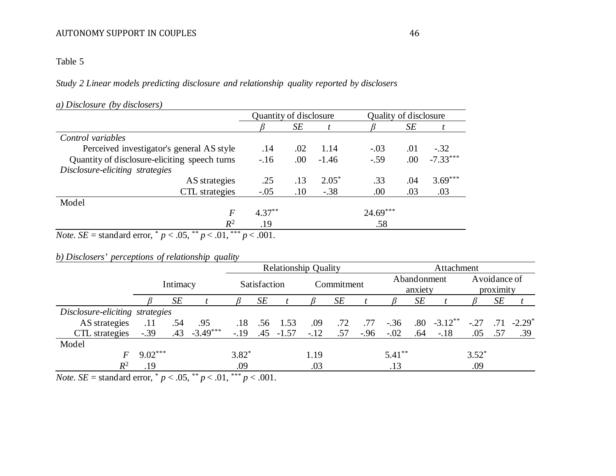Table 5

*Study 2 Linear models predicting disclosure and relationship quality reported by disclosers* 

# *a) Disclosure (by disclosers)*

|                                                                                         | Quantity of disclosure |      |         | Quality of disclosure |      |            |
|-----------------------------------------------------------------------------------------|------------------------|------|---------|-----------------------|------|------------|
|                                                                                         |                        | SE   |         |                       | SЕ   |            |
| Control variables                                                                       |                        |      |         |                       |      |            |
| Perceived investigator's general AS style                                               | .14                    | .02  | 1.14    | $-.03$                | .01  | $-.32$     |
| Quantity of disclosure-eliciting speech turns                                           | $-16$                  | .00. | $-1.46$ | $-.59$                | .00. | $-7.33***$ |
| Disclosure-eliciting strategies                                                         |                        |      |         |                       |      |            |
| AS strategies                                                                           | .25                    | .13  | $2.05*$ | .33                   | .04  | $3.69***$  |
| CTL strategies                                                                          | $-.05$                 | .10  | $-.38$  | .00                   | .03  | .03        |
| Model                                                                                   |                        |      |         |                       |      |            |
| $\boldsymbol{F}$                                                                        | $4.37***$              |      |         | $24.69***$            |      |            |
| $R^2$                                                                                   | .19                    |      |         | .58                   |      |            |
| $N_{\text{min}}$ , CE standard amon $*$ = $\leq$ OE $**$ = $\leq$ 01 $***$ = $\leq$ 001 |                        |      |         |                       |      |            |

*Note*. *SE* = standard error,  $p < .05$ ,  $p < .01$ ,  $p < .001$ .

# *b) Disclosers' perceptions of relationship quality*

|                                                        |           |          |            | <b>Relationship Quality</b> |              |              |        |            |        | Attachment  |                        |                      |            |                           |           |  |
|--------------------------------------------------------|-----------|----------|------------|-----------------------------|--------------|--------------|--------|------------|--------|-------------|------------------------|----------------------|------------|---------------------------|-----------|--|
|                                                        |           | Intimacy |            |                             | Satisfaction |              |        | Commitment |        |             | Abandonment<br>anxiety |                      |            | Avoidance of<br>proximity |           |  |
|                                                        |           | SE       |            |                             | SЕ           |              |        | SE         |        |             | SE                     |                      |            | SE                        |           |  |
| Disclosure-eliciting strategies                        |           |          |            |                             |              |              |        |            |        |             |                        |                      |            |                           |           |  |
| AS strategies                                          | .11       | .54      | .95        | .18                         |              | $.56$ 1.53   | .09    | .72        |        | $.77 - .36$ |                        | $.80 \quad -3.12$ ** | $-.27-.71$ |                           | $-2.29^*$ |  |
| CTL strategies                                         | $-.39$    | .43      | $-3.49***$ | $-.19$                      |              | $.45 - 1.57$ | $-.12$ | .57        | $-.96$ | $-.02$      | .64                    | $-.18$               | .05        | .57                       | .39       |  |
| Model                                                  |           |          |            |                             |              |              |        |            |        |             |                        |                      |            |                           |           |  |
|                                                        | $9.02***$ |          |            | $3.82*$                     |              |              | 1.19   |            |        | $5.41***$   |                        |                      | $3.52*$    |                           |           |  |
| $R^2$                                                  | .19       |          |            | .09                         |              |              | .03    |            |        | .13         |                        |                      | .09        |                           |           |  |
| $\mathbf{1}$ $\mathbf{1}$<br>$\mathbf{v}$ $\mathbf{v}$ | $\ast$    |          | $0 - * *$  | $0.1$ ***                   | 0.01         |              |        |            |        |             |                        |                      |            |                           |           |  |

*Note*. *SE* = standard error,  $p < .05$ ,  $p < .01$ ,  $p < .001$ .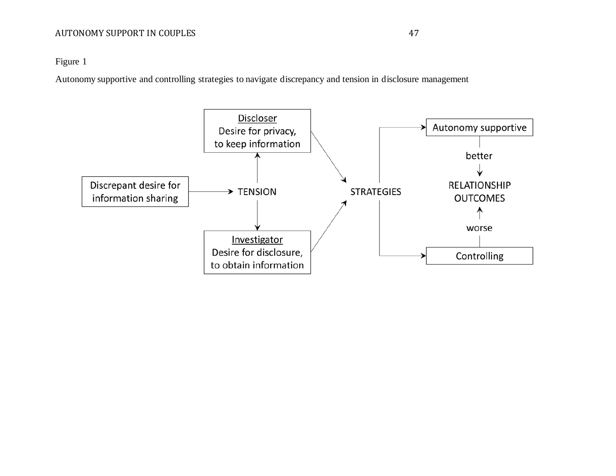Figure 1

Autonomy supportive and controlling strategies to navigate discrepancy and tension in disclosure management

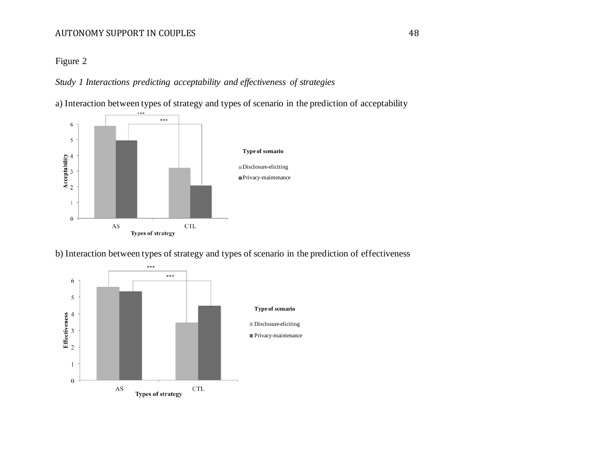# Figure 2

*Study 1 Interactions predicting acceptability and effectiveness of strategies*

a) Interaction between types of strategy and types of scenario in the prediction of acceptability



b) Interaction between types of strategy and types of scenario in the prediction of effectiveness

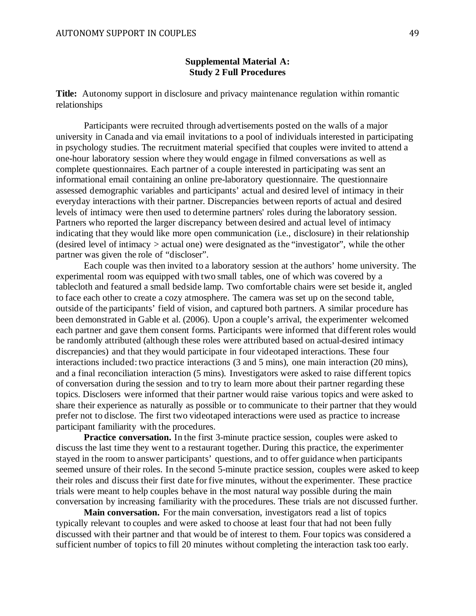# **Supplemental Material A: Study 2 Full Procedures**

**Title:** Autonomy support in disclosure and privacy maintenance regulation within romantic relationships

Participants were recruited through advertisements posted on the walls of a major university in Canada and via email invitations to a pool of individuals interested in participating in psychology studies. The recruitment material specified that couples were invited to attend a one-hour laboratory session where they would engage in filmed conversations as well as complete questionnaires. Each partner of a couple interested in participating was sent an informational email containing an online pre-laboratory questionnaire. The questionnaire assessed demographic variables and participants' actual and desired level of intimacy in their everyday interactions with their partner. Discrepancies between reports of actual and desired levels of intimacy were then used to determine partners' roles during the laboratory session. Partners who reported the larger discrepancy between desired and actual level of intimacy indicating that they would like more open communication (i.e., disclosure) in their relationship (desired level of intimacy > actual one) were designated as the "investigator", while the other partner was given the role of "discloser".

Each couple was then invited to a laboratory session at the authors' home university. The experimental room was equipped with two small tables, one of which was covered by a tablecloth and featured a small bedside lamp. Two comfortable chairs were set beside it, angled to face each other to create a cozy atmosphere. The camera was set up on the second table, outside of the participants' field of vision, and captured both partners. A similar procedure has been demonstrated in Gable et al. (2006). Upon a couple's arrival, the experimenter welcomed each partner and gave them consent forms. Participants were informed that different roles would be randomly attributed (although these roles were attributed based on actual-desired intimacy discrepancies) and that they would participate in four videotaped interactions. These four interactions included: two practice interactions (3 and 5 mins), one main interaction (20 mins), and a final reconciliation interaction (5 mins). Investigators were asked to raise different topics of conversation during the session and to try to learn more about their partner regarding these topics. Disclosers were informed that their partner would raise various topics and were asked to share their experience as naturally as possible or to communicate to their partner that they would prefer not to disclose. The first two videotaped interactions were used as practice to increase participant familiarity with the procedures.

**Practice conversation.** In the first 3-minute practice session, couples were asked to discuss the last time they went to a restaurant together. During this practice, the experimenter stayed in the room to answer participants' questions, and to offer guidance when participants seemed unsure of their roles. In the second 5-minute practice session, couples were asked to keep their roles and discuss their first date for five minutes, without the experimenter. These practice trials were meant to help couples behave in the most natural way possible during the main conversation by increasing familiarity with the procedures. These trials are not discussed further.

**Main conversation.** For the main conversation, investigators read a list of topics typically relevant to couples and were asked to choose at least four that had not been fully discussed with their partner and that would be of interest to them. Four topics was considered a sufficient number of topics to fill 20 minutes without completing the interaction task too early.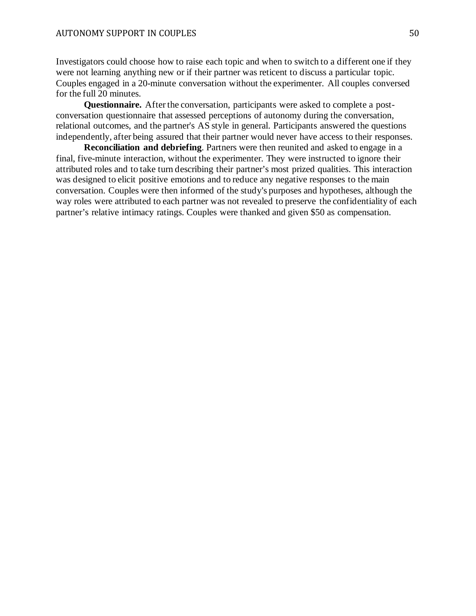Investigators could choose how to raise each topic and when to switch to a different one if they were not learning anything new or if their partner was reticent to discuss a particular topic. Couples engaged in a 20-minute conversation without the experimenter. All couples conversed for the full 20 minutes.

**Questionnaire.** After the conversation, participants were asked to complete a postconversation questionnaire that assessed perceptions of autonomy during the conversation, relational outcomes, and the partner's AS style in general. Participants answered the questions independently, after being assured that their partner would never have access to their responses.

**Reconciliation and debriefing**. Partners were then reunited and asked to engage in a final, five-minute interaction, without the experimenter. They were instructed to ignore their attributed roles and to take turn describing their partner's most prized qualities. This interaction was designed to elicit positive emotions and to reduce any negative responses to the main conversation. Couples were then informed of the study's purposes and hypotheses, although the way roles were attributed to each partner was not revealed to preserve the confidentiality of each partner's relative intimacy ratings. Couples were thanked and given \$50 as compensation.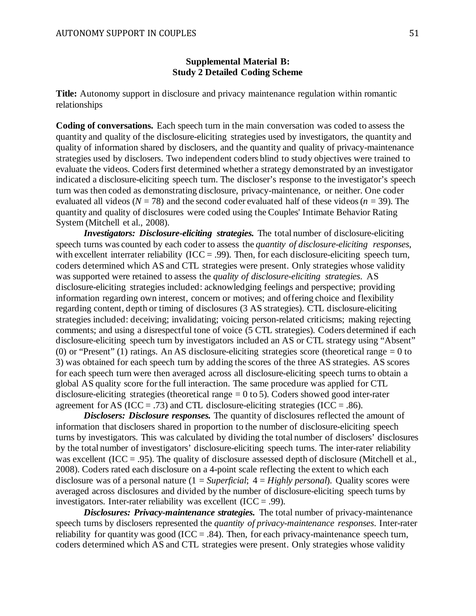# **Supplemental Material B: Study 2 Detailed Coding Scheme**

**Title:** Autonomy support in disclosure and privacy maintenance regulation within romantic relationships

**Coding of conversations.** Each speech turn in the main conversation was coded to assess the quantity and quality of the disclosure-eliciting strategies used by investigators, the quantity and quality of information shared by disclosers, and the quantity and quality of privacy-maintenance strategies used by disclosers. Two independent coders blind to study objectives were trained to evaluate the videos. Coders first determined whether a strategy demonstrated by an investigator indicated a disclosure-eliciting speech turn. The discloser's response to the investigator's speech turn was then coded as demonstrating disclosure, privacy-maintenance, or neither. One coder evaluated all videos ( $N = 78$ ) and the second coder evaluated half of these videos ( $n = 39$ ). The quantity and quality of disclosures were coded using the Couples' Intimate Behavior Rating System (Mitchell et al., 2008).

*Investigators: Disclosure-eliciting strategies.* The total number of disclosure-eliciting speech turns was counted by each coder to assess the *quantity of disclosure-eliciting responses*, with excellent interrater reliability ( $ICC = .99$ ). Then, for each disclosure-eliciting speech turn, coders determined which AS and CTL strategies were present. Only strategies whose validity was supported were retained to assess the *quality of disclosure-eliciting strategies*. AS disclosure-eliciting strategies included: acknowledging feelings and perspective; providing information regarding own interest, concern or motives; and offering choice and flexibility regarding content, depth or timing of disclosures (3 AS strategies). CTL disclosure-eliciting strategies included: deceiving; invalidating; voicing person-related criticisms; making rejecting comments; and using a disrespectful tone of voice (5 CTL strategies). Coders determined if each disclosure-eliciting speech turn by investigators included an AS or CTL strategy using "Absent" (0) or "Present" (1) ratings. An AS disclosure-eliciting strategies score (theoretical range  $= 0$  to 3) was obtained for each speech turn by adding the scores of the three AS strategies. AS scores for each speech turn were then averaged across all disclosure-eliciting speech turns to obtain a global AS quality score for the full interaction. The same procedure was applied for CTL disclosure-eliciting strategies (theoretical range  $= 0$  to 5). Coders showed good inter-rater agreement for AS (ICC = .73) and CTL disclosure-eliciting strategies (ICC = .86).

*Disclosers: Disclosure responses.* The quantity of disclosures reflected the amount of information that disclosers shared in proportion to the number of disclosure-eliciting speech turns by investigators. This was calculated by dividing the total number of disclosers' disclosures by the total number of investigators' disclosure-eliciting speech turns. The inter-rater reliability was excellent (ICC = .95). The quality of disclosure assessed depth of disclosure (Mitchell et al., 2008). Coders rated each disclosure on a 4-point scale reflecting the extent to which each disclosure was of a personal nature (1 = *Superficial*; 4 = *Highly personal*). Quality scores were averaged across disclosures and divided by the number of disclosure-eliciting speech turns by investigators. Inter-rater reliability was excellent  $(ICC = .99)$ .

*Disclosures: Privacy-maintenance strategies.* The total number of privacy-maintenance speech turns by disclosers represented the *quantity of privacy-maintenance responses*. Inter-rater reliability for quantity was good (ICC = .84). Then, for each privacy-maintenance speech turn, coders determined which AS and CTL strategies were present. Only strategies whose validity